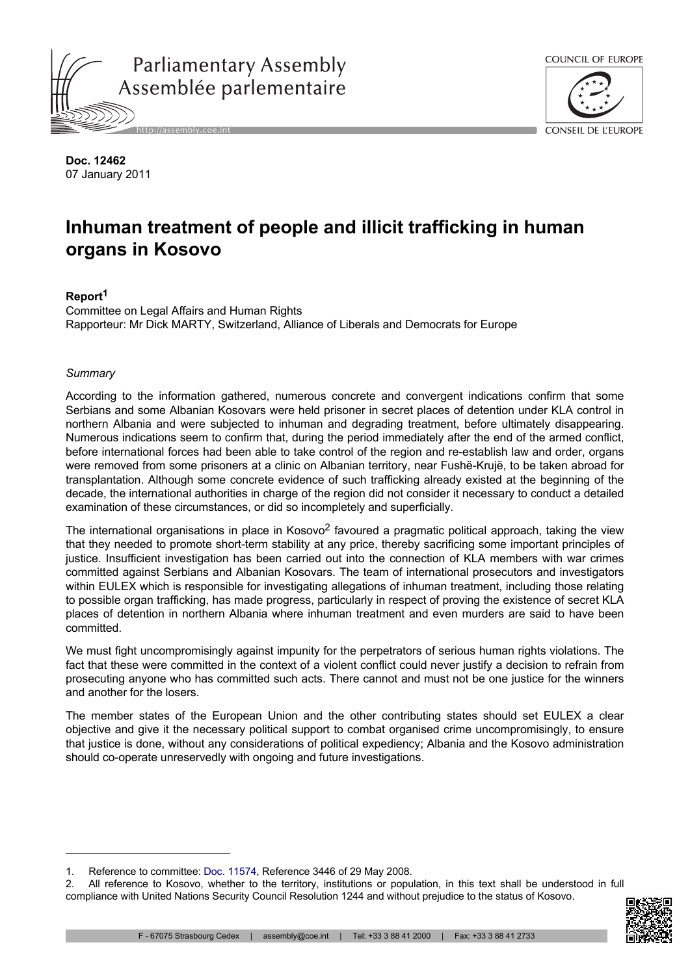



**Doc. 12462** 07 January 2011

# **Inhuman treatment of people and illicit trafficking in human organs in Kosovo**

# **Report<sup>1</sup>**

Committee on Legal Affairs and Human Rights Rapporteur: Mr Dick MARTY, Switzerland, Alliance of Liberals and Democrats for Europe

## *Summary*

According to the information gathered, numerous concrete and convergent indications confirm that some Serbians and some Albanian Kosovars were held prisoner in secret places of detention under KLA control in northern Albania and were subjected to inhuman and degrading treatment, before ultimately disappearing. Numerous indications seem to confirm that, during the period immediately after the end of the armed conflict, before international forces had been able to take control of the region and re-establish law and order, organs were removed from some prisoners at a clinic on Albanian territory, near Fushë-Krujë, to be taken abroad for transplantation. Although some concrete evidence of such trafficking already existed at the beginning of the decade, the international authorities in charge of the region did not consider it necessary to conduct a detailed examination of these circumstances, or did so incompletely and superficially.

The international organisations in place in Kosovo<sup>2</sup> favoured a pragmatic political approach, taking the view that they needed to promote short-term stability at any price, thereby sacrificing some important principles of justice. Insufficient investigation has been carried out into the connection of KLA members with war crimes committed against Serbians and Albanian Kosovars. The team of international prosecutors and investigators within EULEX which is responsible for investigating allegations of inhuman treatment, including those relating to possible organ trafficking, has made progress, particularly in respect of proving the existence of secret KLA places of detention in northern Albania where inhuman treatment and even murders are said to have been committed.

We must fight uncompromisingly against impunity for the perpetrators of serious human rights violations. The fact that these were committed in the context of a violent conflict could never justify a decision to refrain from prosecuting anyone who has committed such acts. There cannot and must not be one justice for the winners and another for the losers.

The member states of the European Union and the other contributing states should set EULEX a clear objective and give it the necessary political support to combat organised crime uncompromisingly, to ensure that justice is done, without any considerations of political expediency; Albania and the Kosovo administration should co-operate unreservedly with ongoing and future investigations.

<sup>2.</sup> All reference to Kosovo, whether to the territory, institutions or population, in this text shall be understood in full compliance with United Nations Security Council Resolution 1244 and without prejudice to the status of Kosovo.



<sup>1.</sup> Reference to committee: [Doc. 11574](http://assembly.coe.int/nw/xml/XRef/Xref-DocDetails-en.asp?FileId=11868), Reference 3446 of 29 May 2008.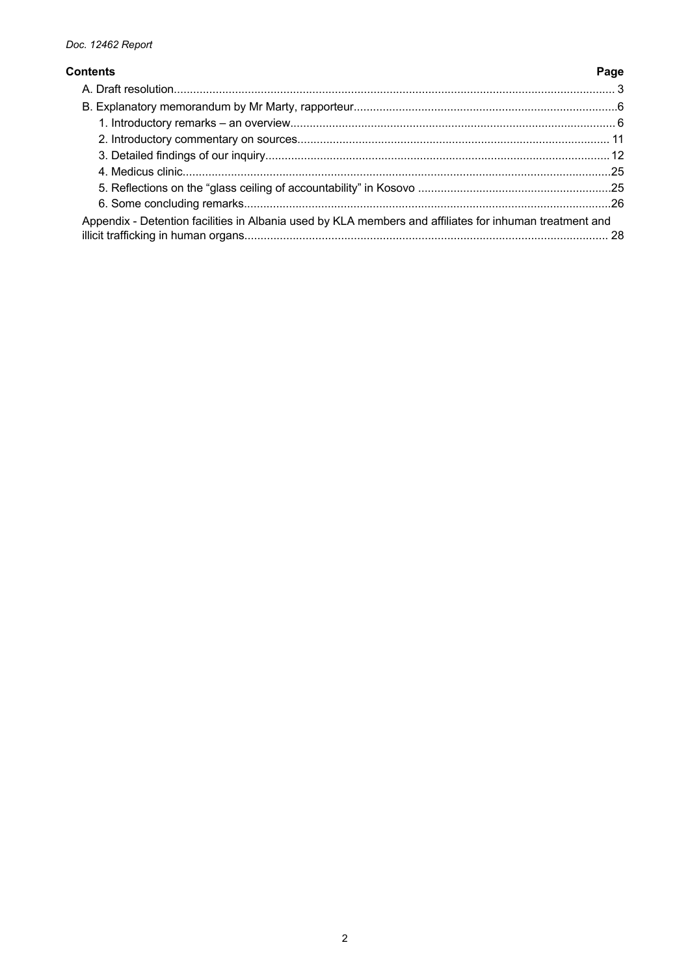# **Contents**

| Appendix - Detention facilities in Albania used by KLA members and affiliates for inhuman treatment and |  |
|---------------------------------------------------------------------------------------------------------|--|

Page

# $\overline{c}$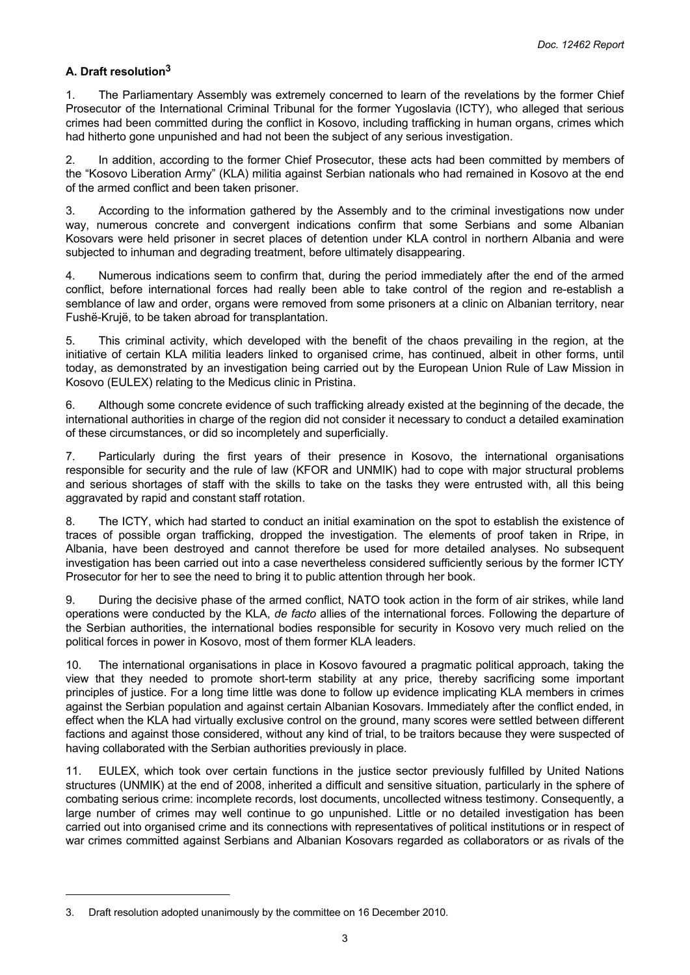# <span id="page-2-0"></span>**A. Draft resolution<sup>3</sup>**

1. The Parliamentary Assembly was extremely concerned to learn of the revelations by the former Chief Prosecutor of the International Criminal Tribunal for the former Yugoslavia (ICTY), who alleged that serious crimes had been committed during the conflict in Kosovo, including trafficking in human organs, crimes which had hitherto gone unpunished and had not been the subject of any serious investigation.

2. In addition, according to the former Chief Prosecutor, these acts had been committed by members of the "Kosovo Liberation Army" (KLA) militia against Serbian nationals who had remained in Kosovo at the end of the armed conflict and been taken prisoner.

3. According to the information gathered by the Assembly and to the criminal investigations now under way, numerous concrete and convergent indications confirm that some Serbians and some Albanian Kosovars were held prisoner in secret places of detention under KLA control in northern Albania and were subjected to inhuman and degrading treatment, before ultimately disappearing.

4. Numerous indications seem to confirm that, during the period immediately after the end of the armed conflict, before international forces had really been able to take control of the region and re-establish a semblance of law and order, organs were removed from some prisoners at a clinic on Albanian territory, near Fushë-Krujë, to be taken abroad for transplantation.

5. This criminal activity, which developed with the benefit of the chaos prevailing in the region, at the initiative of certain KLA militia leaders linked to organised crime, has continued, albeit in other forms, until today, as demonstrated by an investigation being carried out by the European Union Rule of Law Mission in Kosovo (EULEX) relating to the Medicus clinic in Pristina.

6. Although some concrete evidence of such trafficking already existed at the beginning of the decade, the international authorities in charge of the region did not consider it necessary to conduct a detailed examination of these circumstances, or did so incompletely and superficially.

7. Particularly during the first years of their presence in Kosovo, the international organisations responsible for security and the rule of law (KFOR and UNMIK) had to cope with major structural problems and serious shortages of staff with the skills to take on the tasks they were entrusted with, all this being aggravated by rapid and constant staff rotation.

8. The ICTY, which had started to conduct an initial examination on the spot to establish the existence of traces of possible organ trafficking, dropped the investigation. The elements of proof taken in Rripe, in Albania, have been destroyed and cannot therefore be used for more detailed analyses. No subsequent investigation has been carried out into a case nevertheless considered sufficiently serious by the former ICTY Prosecutor for her to see the need to bring it to public attention through her book.

9. During the decisive phase of the armed conflict, NATO took action in the form of air strikes, while land operations were conducted by the KLA, *de facto* allies of the international forces. Following the departure of the Serbian authorities, the international bodies responsible for security in Kosovo very much relied on the political forces in power in Kosovo, most of them former KLA leaders.

10. The international organisations in place in Kosovo favoured a pragmatic political approach, taking the view that they needed to promote short-term stability at any price, thereby sacrificing some important principles of justice. For a long time little was done to follow up evidence implicating KLA members in crimes against the Serbian population and against certain Albanian Kosovars. Immediately after the conflict ended, in effect when the KLA had virtually exclusive control on the ground, many scores were settled between different factions and against those considered, without any kind of trial, to be traitors because they were suspected of having collaborated with the Serbian authorities previously in place.

11. EULEX, which took over certain functions in the justice sector previously fulfilled by United Nations structures (UNMIK) at the end of 2008, inherited a difficult and sensitive situation, particularly in the sphere of combating serious crime: incomplete records, lost documents, uncollected witness testimony. Consequently, a large number of crimes may well continue to go unpunished. Little or no detailed investigation has been carried out into organised crime and its connections with representatives of political institutions or in respect of war crimes committed against Serbians and Albanian Kosovars regarded as collaborators or as rivals of the

<sup>3.</sup> Draft resolution adopted unanimously by the committee on 16 December 2010.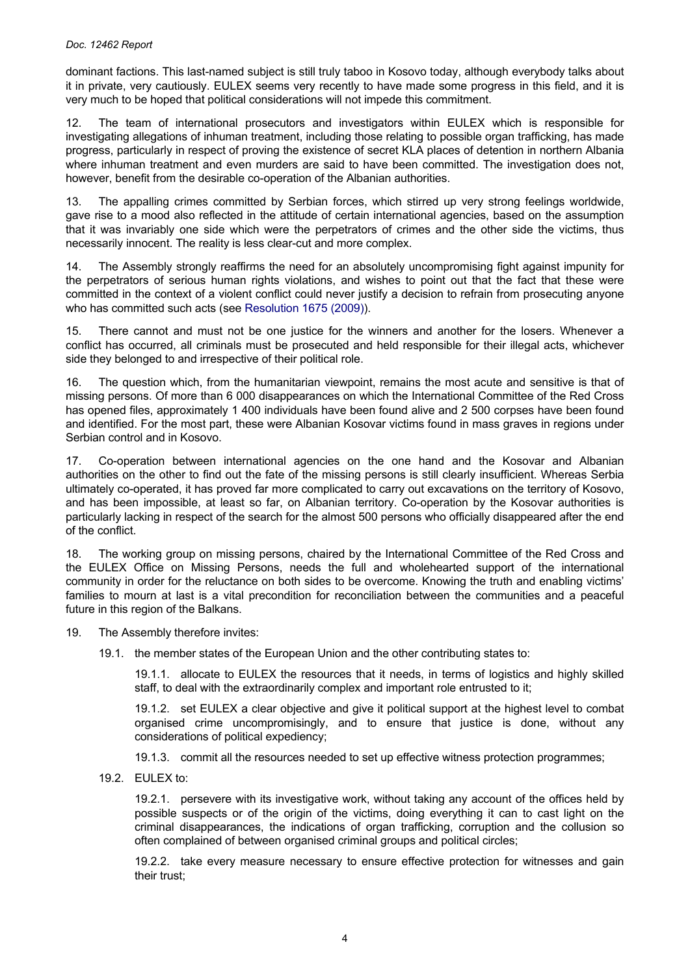dominant factions. This last-named subject is still truly taboo in Kosovo today, although everybody talks about it in private, very cautiously. EULEX seems very recently to have made some progress in this field, and it is very much to be hoped that political considerations will not impede this commitment.

12. The team of international prosecutors and investigators within EULEX which is responsible for investigating allegations of inhuman treatment, including those relating to possible organ trafficking, has made progress, particularly in respect of proving the existence of secret KLA places of detention in northern Albania where inhuman treatment and even murders are said to have been committed. The investigation does not, however, benefit from the desirable co-operation of the Albanian authorities.

13. The appalling crimes committed by Serbian forces, which stirred up very strong feelings worldwide, gave rise to a mood also reflected in the attitude of certain international agencies, based on the assumption that it was invariably one side which were the perpetrators of crimes and the other side the victims, thus necessarily innocent. The reality is less clear-cut and more complex.

14. The Assembly strongly reaffirms the need for an absolutely uncompromising fight against impunity for the perpetrators of serious human rights violations, and wishes to point out that the fact that these were committed in the context of a violent conflict could never justify a decision to refrain from prosecuting anyone who has committed such acts (see [Resolution 1675 \(2009\)](http://assembly.coe.int/nw/xml/XRef/Xref-DocDetails-en.asp?FileId=17756)).

15. There cannot and must not be one justice for the winners and another for the losers. Whenever a conflict has occurred, all criminals must be prosecuted and held responsible for their illegal acts, whichever side they belonged to and irrespective of their political role.

16. The question which, from the humanitarian viewpoint, remains the most acute and sensitive is that of missing persons. Of more than 6 000 disappearances on which the International Committee of the Red Cross has opened files, approximately 1 400 individuals have been found alive and 2 500 corpses have been found and identified. For the most part, these were Albanian Kosovar victims found in mass graves in regions under Serbian control and in Kosovo.

17. Co-operation between international agencies on the one hand and the Kosovar and Albanian authorities on the other to find out the fate of the missing persons is still clearly insufficient. Whereas Serbia ultimately co-operated, it has proved far more complicated to carry out excavations on the territory of Kosovo, and has been impossible, at least so far, on Albanian territory. Co-operation by the Kosovar authorities is particularly lacking in respect of the search for the almost 500 persons who officially disappeared after the end of the conflict.

18. The working group on missing persons, chaired by the International Committee of the Red Cross and the EULEX Office on Missing Persons, needs the full and wholehearted support of the international community in order for the reluctance on both sides to be overcome. Knowing the truth and enabling victims' families to mourn at last is a vital precondition for reconciliation between the communities and a peaceful future in this region of the Balkans.

- 19. The Assembly therefore invites:
	- 19.1. the member states of the European Union and the other contributing states to:

19.1.1. allocate to EULEX the resources that it needs, in terms of logistics and highly skilled staff, to deal with the extraordinarily complex and important role entrusted to it;

19.1.2. set EULEX a clear objective and give it political support at the highest level to combat organised crime uncompromisingly, and to ensure that justice is done, without any considerations of political expediency;

19.1.3. commit all the resources needed to set up effective witness protection programmes;

19.2. EULEX to:

19.2.1. persevere with its investigative work, without taking any account of the offices held by possible suspects or of the origin of the victims, doing everything it can to cast light on the criminal disappearances, the indications of organ trafficking, corruption and the collusion so often complained of between organised criminal groups and political circles;

19.2.2. take every measure necessary to ensure effective protection for witnesses and gain their trust;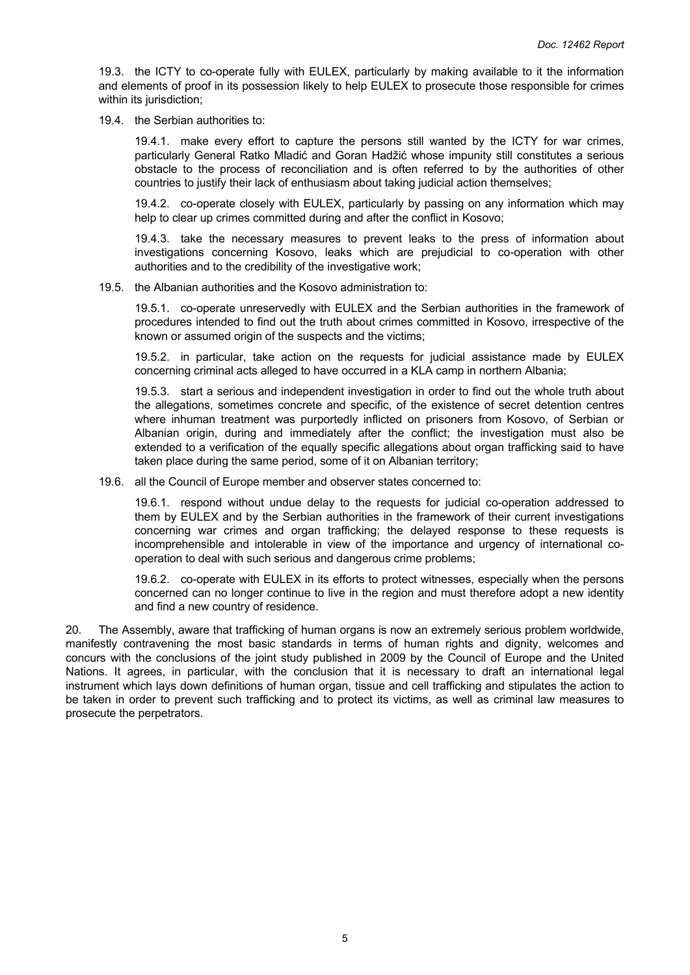19.3. the ICTY to co-operate fully with EULEX, particularly by making available to it the information and elements of proof in its possession likely to help EULEX to prosecute those responsible for crimes within its jurisdiction:

19.4. the Serbian authorities to:

19.4.1. make every effort to capture the persons still wanted by the ICTY for war crimes, particularly General Ratko Mladić and Goran Hadžić whose impunity still constitutes a serious obstacle to the process of reconciliation and is often referred to by the authorities of other countries to justify their lack of enthusiasm about taking judicial action themselves;

19.4.2. co-operate closely with EULEX, particularly by passing on any information which may help to clear up crimes committed during and after the conflict in Kosovo;

19.4.3. take the necessary measures to prevent leaks to the press of information about investigations concerning Kosovo, leaks which are prejudicial to co-operation with other authorities and to the credibility of the investigative work;

19.5. the Albanian authorities and the Kosovo administration to:

19.5.1. co-operate unreservedly with EULEX and the Serbian authorities in the framework of procedures intended to find out the truth about crimes committed in Kosovo, irrespective of the known or assumed origin of the suspects and the victims;

19.5.2. in particular, take action on the requests for judicial assistance made by EULEX concerning criminal acts alleged to have occurred in a KLA camp in northern Albania;

19.5.3. start a serious and independent investigation in order to find out the whole truth about the allegations, sometimes concrete and specific, of the existence of secret detention centres where inhuman treatment was purportedly inflicted on prisoners from Kosovo, of Serbian or Albanian origin, during and immediately after the conflict; the investigation must also be extended to a verification of the equally specific allegations about organ trafficking said to have taken place during the same period, some of it on Albanian territory;

19.6. all the Council of Europe member and observer states concerned to:

19.6.1. respond without undue delay to the requests for judicial co-operation addressed to them by EULEX and by the Serbian authorities in the framework of their current investigations concerning war crimes and organ trafficking; the delayed response to these requests is incomprehensible and intolerable in view of the importance and urgency of international cooperation to deal with such serious and dangerous crime problems;

19.6.2. co-operate with EULEX in its efforts to protect witnesses, especially when the persons concerned can no longer continue to live in the region and must therefore adopt a new identity and find a new country of residence.

20. The Assembly, aware that trafficking of human organs is now an extremely serious problem worldwide, manifestly contravening the most basic standards in terms of human rights and dignity, welcomes and concurs with the conclusions of the joint study published in 2009 by the Council of Europe and the United Nations. It agrees, in particular, with the conclusion that it is necessary to draft an international legal instrument which lays down definitions of human organ, tissue and cell trafficking and stipulates the action to be taken in order to prevent such trafficking and to protect its victims, as well as criminal law measures to prosecute the perpetrators.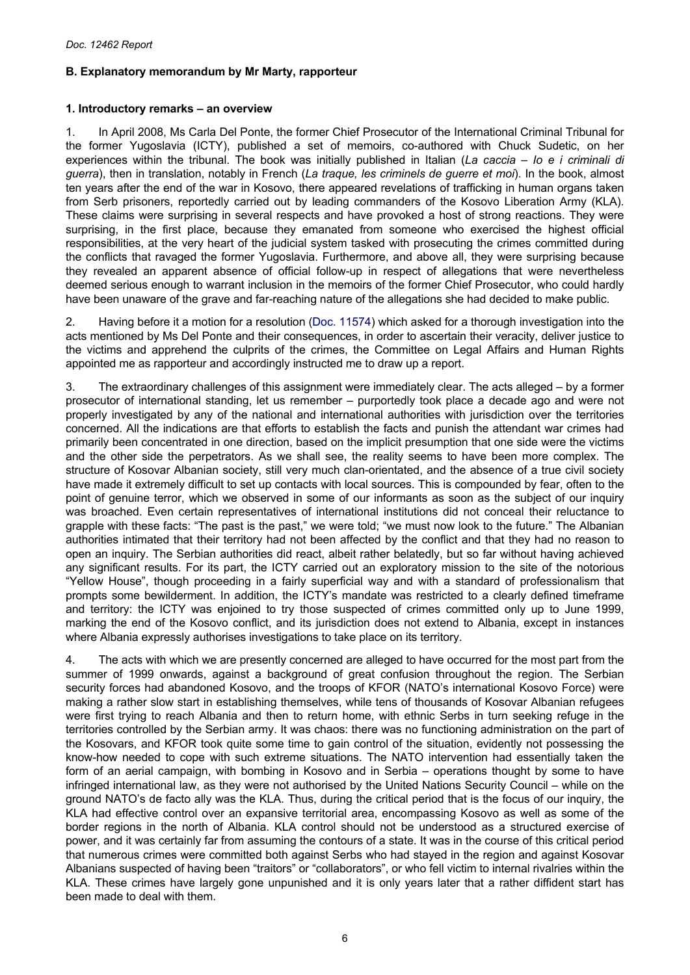# <span id="page-5-0"></span>**B. Explanatory memorandum by Mr Marty, rapporteur**

## **1. Introductory remarks – an overview**

1. In April 2008, Ms Carla Del Ponte, the former Chief Prosecutor of the International Criminal Tribunal for the former Yugoslavia (ICTY), published a set of memoirs, co-authored with Chuck Sudetic, on her experiences within the tribunal. The book was initially published in Italian (*La caccia – Io e i criminali di guerra*), then in translation, notably in French (*La traque, les criminels de guerre et moi*). In the book, almost ten years after the end of the war in Kosovo, there appeared revelations of trafficking in human organs taken from Serb prisoners, reportedly carried out by leading commanders of the Kosovo Liberation Army (KLA). These claims were surprising in several respects and have provoked a host of strong reactions. They were surprising, in the first place, because they emanated from someone who exercised the highest official responsibilities, at the very heart of the judicial system tasked with prosecuting the crimes committed during the conflicts that ravaged the former Yugoslavia. Furthermore, and above all, they were surprising because they revealed an apparent absence of official follow-up in respect of allegations that were nevertheless deemed serious enough to warrant inclusion in the memoirs of the former Chief Prosecutor, who could hardly have been unaware of the grave and far-reaching nature of the allegations she had decided to make public.

2. Having before it a motion for a resolution ([Doc. 11574](http://assembly.coe.int/nw/xml/XRef/Xref-DocDetails-en.asp?FileId=11868)) which asked for a thorough investigation into the acts mentioned by Ms Del Ponte and their consequences, in order to ascertain their veracity, deliver justice to the victims and apprehend the culprits of the crimes, the Committee on Legal Affairs and Human Rights appointed me as rapporteur and accordingly instructed me to draw up a report.

3. The extraordinary challenges of this assignment were immediately clear. The acts alleged – by a former prosecutor of international standing, let us remember – purportedly took place a decade ago and were not properly investigated by any of the national and international authorities with jurisdiction over the territories concerned. All the indications are that efforts to establish the facts and punish the attendant war crimes had primarily been concentrated in one direction, based on the implicit presumption that one side were the victims and the other side the perpetrators. As we shall see, the reality seems to have been more complex. The structure of Kosovar Albanian society, still very much clan-orientated, and the absence of a true civil society have made it extremely difficult to set up contacts with local sources. This is compounded by fear, often to the point of genuine terror, which we observed in some of our informants as soon as the subject of our inquiry was broached. Even certain representatives of international institutions did not conceal their reluctance to grapple with these facts: "The past is the past," we were told; "we must now look to the future." The Albanian authorities intimated that their territory had not been affected by the conflict and that they had no reason to open an inquiry. The Serbian authorities did react, albeit rather belatedly, but so far without having achieved any significant results. For its part, the ICTY carried out an exploratory mission to the site of the notorious "Yellow House", though proceeding in a fairly superficial way and with a standard of professionalism that prompts some bewilderment. In addition, the ICTY's mandate was restricted to a clearly defined timeframe and territory: the ICTY was enjoined to try those suspected of crimes committed only up to June 1999, marking the end of the Kosovo conflict, and its jurisdiction does not extend to Albania, except in instances where Albania expressly authorises investigations to take place on its territory.

4. The acts with which we are presently concerned are alleged to have occurred for the most part from the summer of 1999 onwards, against a background of great confusion throughout the region. The Serbian security forces had abandoned Kosovo, and the troops of KFOR (NATO's international Kosovo Force) were making a rather slow start in establishing themselves, while tens of thousands of Kosovar Albanian refugees were first trying to reach Albania and then to return home, with ethnic Serbs in turn seeking refuge in the territories controlled by the Serbian army. It was chaos: there was no functioning administration on the part of the Kosovars, and KFOR took quite some time to gain control of the situation, evidently not possessing the know-how needed to cope with such extreme situations. The NATO intervention had essentially taken the form of an aerial campaign, with bombing in Kosovo and in Serbia – operations thought by some to have infringed international law, as they were not authorised by the United Nations Security Council – while on the ground NATO's de facto ally was the KLA. Thus, during the critical period that is the focus of our inquiry, the KLA had effective control over an expansive territorial area, encompassing Kosovo as well as some of the border regions in the north of Albania. KLA control should not be understood as a structured exercise of power, and it was certainly far from assuming the contours of a state. It was in the course of this critical period that numerous crimes were committed both against Serbs who had stayed in the region and against Kosovar Albanians suspected of having been "traitors" or "collaborators", or who fell victim to internal rivalries within the KLA. These crimes have largely gone unpunished and it is only years later that a rather diffident start has been made to deal with them.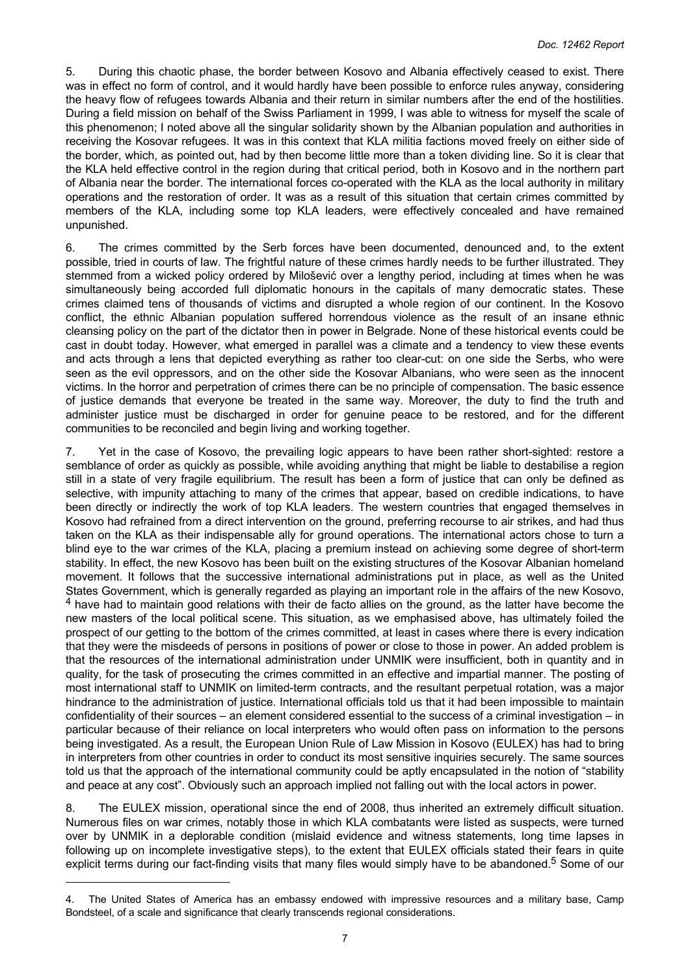5. During this chaotic phase, the border between Kosovo and Albania effectively ceased to exist. There was in effect no form of control, and it would hardly have been possible to enforce rules anyway, considering the heavy flow of refugees towards Albania and their return in similar numbers after the end of the hostilities. During a field mission on behalf of the Swiss Parliament in 1999, I was able to witness for myself the scale of this phenomenon; I noted above all the singular solidarity shown by the Albanian population and authorities in receiving the Kosovar refugees. It was in this context that KLA militia factions moved freely on either side of the border, which, as pointed out, had by then become little more than a token dividing line. So it is clear that the KLA held effective control in the region during that critical period, both in Kosovo and in the northern part of Albania near the border. The international forces co-operated with the KLA as the local authority in military operations and the restoration of order. It was as a result of this situation that certain crimes committed by members of the KLA, including some top KLA leaders, were effectively concealed and have remained unpunished.

6. The crimes committed by the Serb forces have been documented, denounced and, to the extent possible, tried in courts of law. The frightful nature of these crimes hardly needs to be further illustrated. They stemmed from a wicked policy ordered by Milošević over a lengthy period, including at times when he was simultaneously being accorded full diplomatic honours in the capitals of many democratic states. These crimes claimed tens of thousands of victims and disrupted a whole region of our continent. In the Kosovo conflict, the ethnic Albanian population suffered horrendous violence as the result of an insane ethnic cleansing policy on the part of the dictator then in power in Belgrade. None of these historical events could be cast in doubt today. However, what emerged in parallel was a climate and a tendency to view these events and acts through a lens that depicted everything as rather too clear-cut: on one side the Serbs, who were seen as the evil oppressors, and on the other side the Kosovar Albanians, who were seen as the innocent victims. In the horror and perpetration of crimes there can be no principle of compensation. The basic essence of justice demands that everyone be treated in the same way. Moreover, the duty to find the truth and administer justice must be discharged in order for genuine peace to be restored, and for the different communities to be reconciled and begin living and working together.

7. Yet in the case of Kosovo, the prevailing logic appears to have been rather short-sighted: restore a semblance of order as quickly as possible, while avoiding anything that might be liable to destabilise a region still in a state of very fragile equilibrium. The result has been a form of justice that can only be defined as selective, with impunity attaching to many of the crimes that appear, based on credible indications, to have been directly or indirectly the work of top KLA leaders. The western countries that engaged themselves in Kosovo had refrained from a direct intervention on the ground, preferring recourse to air strikes, and had thus taken on the KLA as their indispensable ally for ground operations. The international actors chose to turn a blind eye to the war crimes of the KLA, placing a premium instead on achieving some degree of short-term stability. In effect, the new Kosovo has been built on the existing structures of the Kosovar Albanian homeland movement. It follows that the successive international administrations put in place, as well as the United States Government, which is generally regarded as playing an important role in the affairs of the new Kosovo, <sup>4</sup> have had to maintain good relations with their de facto allies on the ground, as the latter have become the new masters of the local political scene. This situation, as we emphasised above, has ultimately foiled the prospect of our getting to the bottom of the crimes committed, at least in cases where there is every indication that they were the misdeeds of persons in positions of power or close to those in power. An added problem is that the resources of the international administration under UNMIK were insufficient, both in quantity and in quality, for the task of prosecuting the crimes committed in an effective and impartial manner. The posting of most international staff to UNMIK on limited-term contracts, and the resultant perpetual rotation, was a major hindrance to the administration of justice. International officials told us that it had been impossible to maintain confidentiality of their sources – an element considered essential to the success of a criminal investigation – in particular because of their reliance on local interpreters who would often pass on information to the persons being investigated. As a result, the European Union Rule of Law Mission in Kosovo (EULEX) has had to bring in interpreters from other countries in order to conduct its most sensitive inquiries securely. The same sources told us that the approach of the international community could be aptly encapsulated in the notion of "stability and peace at any cost". Obviously such an approach implied not falling out with the local actors in power.

8. The EULEX mission, operational since the end of 2008, thus inherited an extremely difficult situation. Numerous files on war crimes, notably those in which KLA combatants were listed as suspects, were turned over by UNMIK in a deplorable condition (mislaid evidence and witness statements, long time lapses in following up on incomplete investigative steps), to the extent that EULEX officials stated their fears in quite explicit terms during our fact-finding visits that many files would simply have to be abandoned.<sup>5</sup> Some of our

The United States of America has an embassy endowed with impressive resources and a military base, Camp Bondsteel, of a scale and significance that clearly transcends regional considerations.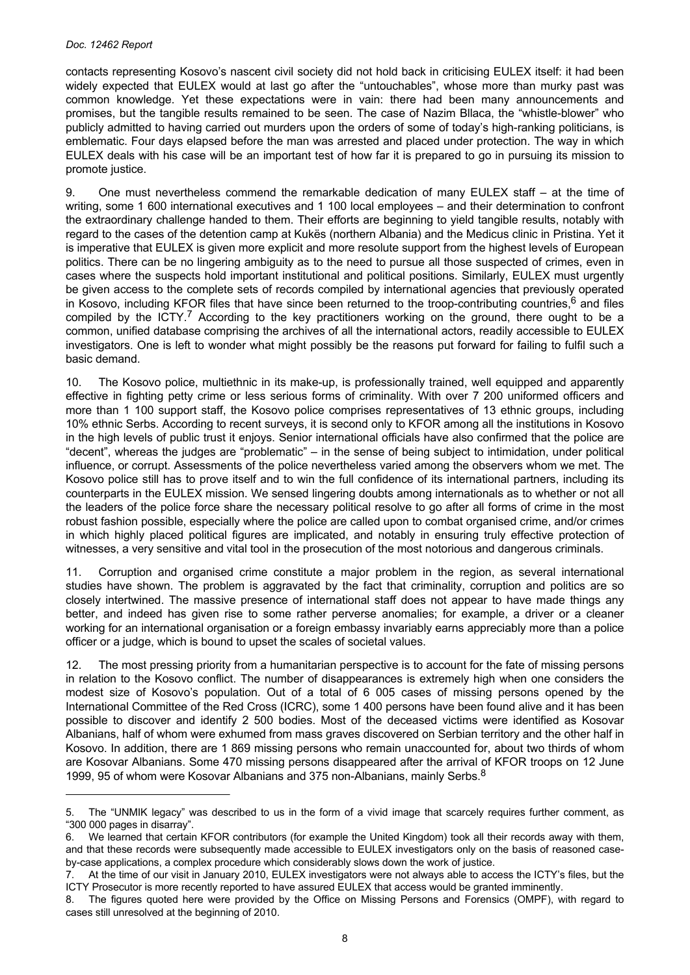contacts representing Kosovo's nascent civil society did not hold back in criticising EULEX itself: it had been widely expected that EULEX would at last go after the "untouchables", whose more than murky past was common knowledge. Yet these expectations were in vain: there had been many announcements and promises, but the tangible results remained to be seen. The case of Nazim Bllaca, the "whistle-blower" who publicly admitted to having carried out murders upon the orders of some of today's high-ranking politicians, is emblematic. Four days elapsed before the man was arrested and placed under protection. The way in which EULEX deals with his case will be an important test of how far it is prepared to go in pursuing its mission to promote justice.

9. One must nevertheless commend the remarkable dedication of many EULEX staff – at the time of writing, some 1 600 international executives and 1 100 local employees – and their determination to confront the extraordinary challenge handed to them. Their efforts are beginning to yield tangible results, notably with regard to the cases of the detention camp at Kukës (northern Albania) and the Medicus clinic in Pristina. Yet it is imperative that EULEX is given more explicit and more resolute support from the highest levels of European politics. There can be no lingering ambiguity as to the need to pursue all those suspected of crimes, even in cases where the suspects hold important institutional and political positions. Similarly, EULEX must urgently be given access to the complete sets of records compiled by international agencies that previously operated in Kosovo, including KFOR files that have since been returned to the troop-contributing countries,<sup>6</sup> and files compiled by the ICTY.<sup>7</sup> According to the key practitioners working on the ground, there ought to be a common, unified database comprising the archives of all the international actors, readily accessible to EULEX investigators. One is left to wonder what might possibly be the reasons put forward for failing to fulfil such a basic demand.

10. The Kosovo police, multiethnic in its make-up, is professionally trained, well equipped and apparently effective in fighting petty crime or less serious forms of criminality. With over 7 200 uniformed officers and more than 1 100 support staff, the Kosovo police comprises representatives of 13 ethnic groups, including 10% ethnic Serbs. According to recent surveys, it is second only to KFOR among all the institutions in Kosovo in the high levels of public trust it enjoys. Senior international officials have also confirmed that the police are "decent", whereas the judges are "problematic" – in the sense of being subject to intimidation, under political influence, or corrupt. Assessments of the police nevertheless varied among the observers whom we met. The Kosovo police still has to prove itself and to win the full confidence of its international partners, including its counterparts in the EULEX mission. We sensed lingering doubts among internationals as to whether or not all the leaders of the police force share the necessary political resolve to go after all forms of crime in the most robust fashion possible, especially where the police are called upon to combat organised crime, and/or crimes in which highly placed political figures are implicated, and notably in ensuring truly effective protection of witnesses, a very sensitive and vital tool in the prosecution of the most notorious and dangerous criminals.

11. Corruption and organised crime constitute a major problem in the region, as several international studies have shown. The problem is aggravated by the fact that criminality, corruption and politics are so closely intertwined. The massive presence of international staff does not appear to have made things any better, and indeed has given rise to some rather perverse anomalies; for example, a driver or a cleaner working for an international organisation or a foreign embassy invariably earns appreciably more than a police officer or a judge, which is bound to upset the scales of societal values.

12. The most pressing priority from a humanitarian perspective is to account for the fate of missing persons in relation to the Kosovo conflict. The number of disappearances is extremely high when one considers the modest size of Kosovo's population. Out of a total of 6 005 cases of missing persons opened by the International Committee of the Red Cross (ICRC), some 1 400 persons have been found alive and it has been possible to discover and identify 2 500 bodies. Most of the deceased victims were identified as Kosovar Albanians, half of whom were exhumed from mass graves discovered on Serbian territory and the other half in Kosovo. In addition, there are 1 869 missing persons who remain unaccounted for, about two thirds of whom are Kosovar Albanians. Some 470 missing persons disappeared after the arrival of KFOR troops on 12 June 1999, 95 of whom were Kosovar Albanians and 375 non-Albanians, mainly Serbs.<sup>8</sup>

<sup>5.</sup> The "UNMIK legacy" was described to us in the form of a vivid image that scarcely requires further comment, as "300 000 pages in disarray".

<sup>6.</sup> We learned that certain KFOR contributors (for example the United Kingdom) took all their records away with them, and that these records were subsequently made accessible to EULEX investigators only on the basis of reasoned caseby-case applications, a complex procedure which considerably slows down the work of justice.

<sup>7.</sup> At the time of our visit in January 2010, EULEX investigators were not always able to access the ICTY's files, but the ICTY Prosecutor is more recently reported to have assured EULEX that access would be granted imminently.

<sup>8.</sup> The figures quoted here were provided by the Office on Missing Persons and Forensics (OMPF), with regard to cases still unresolved at the beginning of 2010.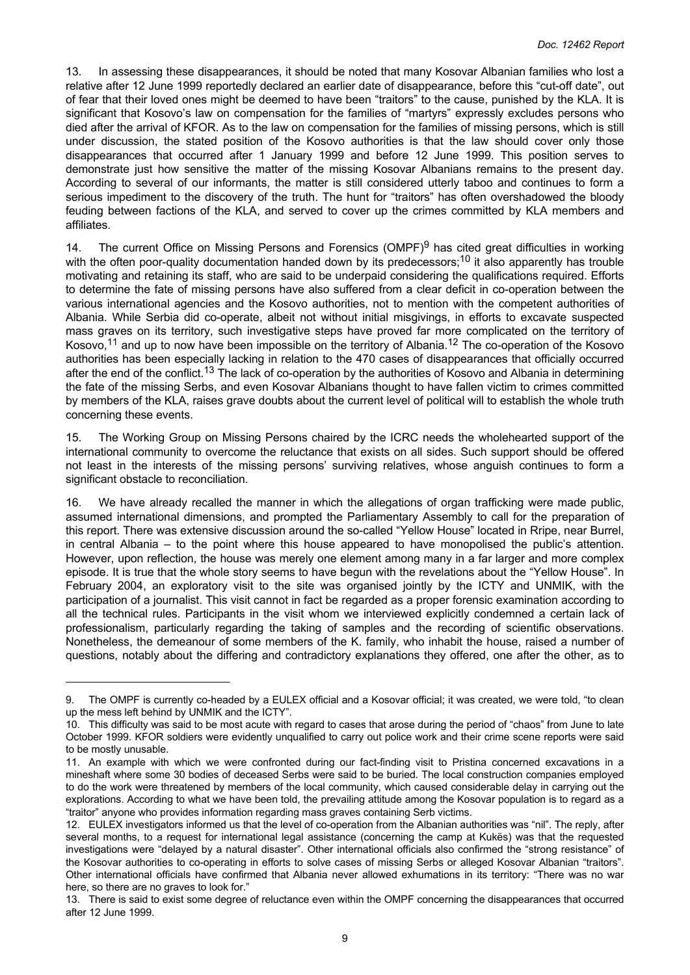13. In assessing these disappearances, it should be noted that many Kosovar Albanian families who lost a relative after 12 June 1999 reportedly declared an earlier date of disappearance, before this "cut-off date", out of fear that their loved ones might be deemed to have been "traitors" to the cause, punished by the KLA. It is significant that Kosovo's law on compensation for the families of "martyrs" expressly excludes persons who died after the arrival of KFOR. As to the law on compensation for the families of missing persons, which is still under discussion, the stated position of the Kosovo authorities is that the law should cover only those disappearances that occurred after 1 January 1999 and before 12 June 1999. This position serves to demonstrate just how sensitive the matter of the missing Kosovar Albanians remains to the present day. According to several of our informants, the matter is still considered utterly taboo and continues to form a serious impediment to the discovery of the truth. The hunt for "traitors" has often overshadowed the bloody feuding between factions of the KLA, and served to cover up the crimes committed by KLA members and affiliates.

14. The current Office on Missing Persons and Forensics (OMPF)<sup>9</sup> has cited great difficulties in working with the often poor-quality documentation handed down by its predecessors;<sup>10</sup> it also apparently has trouble motivating and retaining its staff, who are said to be underpaid considering the qualifications required. Efforts to determine the fate of missing persons have also suffered from a clear deficit in co-operation between the various international agencies and the Kosovo authorities, not to mention with the competent authorities of Albania. While Serbia did co-operate, albeit not without initial misgivings, in efforts to excavate suspected mass graves on its territory, such investigative steps have proved far more complicated on the territory of Kosovo,<sup>11</sup> and up to now have been impossible on the territory of Albania.<sup>12</sup> The co-operation of the Kosovo authorities has been especially lacking in relation to the 470 cases of disappearances that officially occurred after the end of the conflict.<sup>13</sup> The lack of co-operation by the authorities of Kosovo and Albania in determining the fate of the missing Serbs, and even Kosovar Albanians thought to have fallen victim to crimes committed by members of the KLA, raises grave doubts about the current level of political will to establish the whole truth concerning these events.

15. The Working Group on Missing Persons chaired by the ICRC needs the wholehearted support of the international community to overcome the reluctance that exists on all sides. Such support should be offered not least in the interests of the missing persons' surviving relatives, whose anguish continues to form a significant obstacle to reconciliation.

16. We have already recalled the manner in which the allegations of organ trafficking were made public, assumed international dimensions, and prompted the Parliamentary Assembly to call for the preparation of this report. There was extensive discussion around the so-called "Yellow House" located in Rripe, near Burrel, in central Albania – to the point where this house appeared to have monopolised the public's attention. However, upon reflection, the house was merely one element among many in a far larger and more complex episode. It is true that the whole story seems to have begun with the revelations about the "Yellow House". In February 2004, an exploratory visit to the site was organised jointly by the ICTY and UNMIK, with the participation of a journalist. This visit cannot in fact be regarded as a proper forensic examination according to all the technical rules. Participants in the visit whom we interviewed explicitly condemned a certain lack of professionalism, particularly regarding the taking of samples and the recording of scientific observations. Nonetheless, the demeanour of some members of the K. family, who inhabit the house, raised a number of questions, notably about the differing and contradictory explanations they offered, one after the other, as to

<sup>9.</sup> The OMPF is currently co-headed by a EULEX official and a Kosovar official; it was created, we were told, "to clean up the mess left behind by UNMIK and the ICTY".

<sup>10.</sup> This difficulty was said to be most acute with regard to cases that arose during the period of "chaos" from June to late October 1999. KFOR soldiers were evidently unqualified to carry out police work and their crime scene reports were said to be mostly unusable.

<sup>11.</sup> An example with which we were confronted during our fact-finding visit to Pristina concerned excavations in a mineshaft where some 30 bodies of deceased Serbs were said to be buried. The local construction companies employed to do the work were threatened by members of the local community, which caused considerable delay in carrying out the explorations. According to what we have been told, the prevailing attitude among the Kosovar population is to regard as a "traitor" anyone who provides information regarding mass graves containing Serb victims.

<sup>12.</sup> EULEX investigators informed us that the level of co-operation from the Albanian authorities was "nil". The reply, after several months, to a request for international legal assistance (concerning the camp at Kukës) was that the requested investigations were "delayed by a natural disaster". Other international officials also confirmed the "strong resistance" of the Kosovar authorities to co-operating in efforts to solve cases of missing Serbs or alleged Kosovar Albanian "traitors". Other international officials have confirmed that Albania never allowed exhumations in its territory: "There was no war here, so there are no graves to look for."

<sup>13.</sup> There is said to exist some degree of reluctance even within the OMPF concerning the disappearances that occurred after 12 June 1999.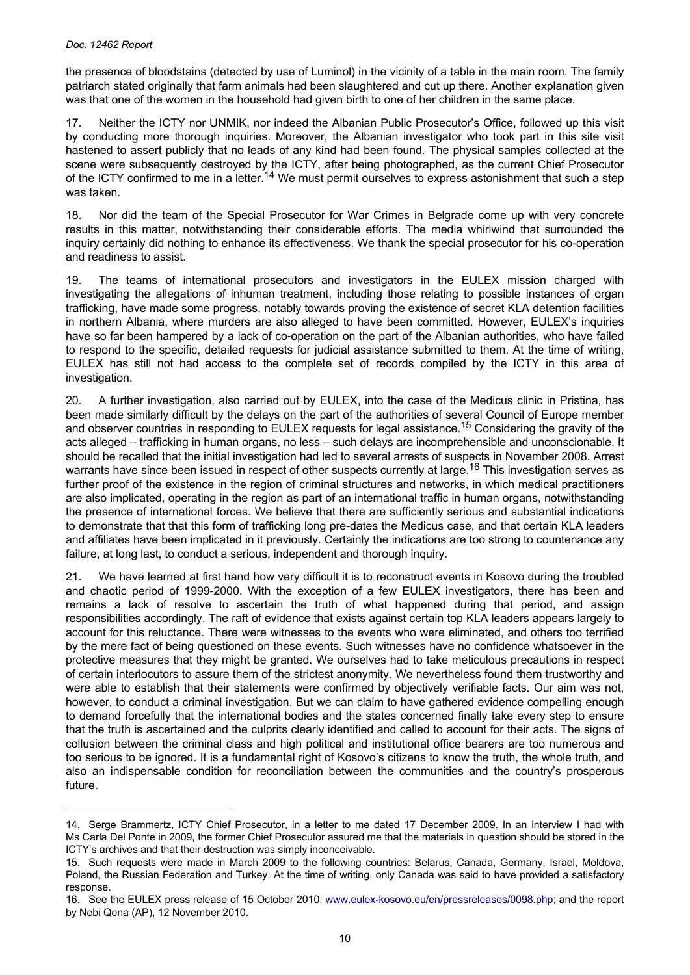the presence of bloodstains (detected by use of Luminol) in the vicinity of a table in the main room. The family patriarch stated originally that farm animals had been slaughtered and cut up there. Another explanation given was that one of the women in the household had given birth to one of her children in the same place.

17. Neither the ICTY nor UNMIK, nor indeed the Albanian Public Prosecutor's Office, followed up this visit by conducting more thorough inquiries. Moreover, the Albanian investigator who took part in this site visit hastened to assert publicly that no leads of any kind had been found. The physical samples collected at the scene were subsequently destroyed by the ICTY, after being photographed, as the current Chief Prosecutor of the ICTY confirmed to me in a letter.<sup>14</sup> We must permit ourselves to express astonishment that such a step was taken.

18. Nor did the team of the Special Prosecutor for War Crimes in Belgrade come up with very concrete results in this matter, notwithstanding their considerable efforts. The media whirlwind that surrounded the inquiry certainly did nothing to enhance its effectiveness. We thank the special prosecutor for his co-operation and readiness to assist.

19. The teams of international prosecutors and investigators in the EULEX mission charged with investigating the allegations of inhuman treatment, including those relating to possible instances of organ trafficking, have made some progress, notably towards proving the existence of secret KLA detention facilities in northern Albania, where murders are also alleged to have been committed. However, EULEX's inquiries have so far been hampered by a lack of co-operation on the part of the Albanian authorities, who have failed to respond to the specific, detailed requests for judicial assistance submitted to them. At the time of writing, EULEX has still not had access to the complete set of records compiled by the ICTY in this area of investigation.

20. A further investigation, also carried out by EULEX, into the case of the Medicus clinic in Pristina, has been made similarly difficult by the delays on the part of the authorities of several Council of Europe member and observer countries in responding to EULEX requests for legal assistance.<sup>15</sup> Considering the gravity of the acts alleged – trafficking in human organs, no less – such delays are incomprehensible and unconscionable. It should be recalled that the initial investigation had led to several arrests of suspects in November 2008. Arrest warrants have since been issued in respect of other suspects currently at large.<sup>16</sup> This investigation serves as further proof of the existence in the region of criminal structures and networks, in which medical practitioners are also implicated, operating in the region as part of an international traffic in human organs, notwithstanding the presence of international forces. We believe that there are sufficiently serious and substantial indications to demonstrate that that this form of trafficking long pre-dates the Medicus case, and that certain KLA leaders and affiliates have been implicated in it previously. Certainly the indications are too strong to countenance any failure, at long last, to conduct a serious, independent and thorough inquiry.

21. We have learned at first hand how very difficult it is to reconstruct events in Kosovo during the troubled and chaotic period of 1999-2000. With the exception of a few EULEX investigators, there has been and remains a lack of resolve to ascertain the truth of what happened during that period, and assign responsibilities accordingly. The raft of evidence that exists against certain top KLA leaders appears largely to account for this reluctance. There were witnesses to the events who were eliminated, and others too terrified by the mere fact of being questioned on these events. Such witnesses have no confidence whatsoever in the protective measures that they might be granted. We ourselves had to take meticulous precautions in respect of certain interlocutors to assure them of the strictest anonymity. We nevertheless found them trustworthy and were able to establish that their statements were confirmed by objectively verifiable facts. Our aim was not, however, to conduct a criminal investigation. But we can claim to have gathered evidence compelling enough to demand forcefully that the international bodies and the states concerned finally take every step to ensure that the truth is ascertained and the culprits clearly identified and called to account for their acts. The signs of collusion between the criminal class and high political and institutional office bearers are too numerous and too serious to be ignored. It is a fundamental right of Kosovo's citizens to know the truth, the whole truth, and also an indispensable condition for reconciliation between the communities and the country's prosperous future.

<sup>14.</sup> Serge Brammertz, ICTY Chief Prosecutor, in a letter to me dated 17 December 2009. In an interview I had with Ms Carla Del Ponte in 2009, the former Chief Prosecutor assured me that the materials in question should be stored in the ICTY's archives and that their destruction was simply inconceivable.

<sup>15.</sup> Such requests were made in March 2009 to the following countries: Belarus, Canada, Germany, Israel, Moldova, Poland, the Russian Federation and Turkey. At the time of writing, only Canada was said to have provided a satisfactory response.

<sup>16.</sup> See the EULEX press release of 15 October 2010: [www.eulex-kosovo.eu/en/pressreleases/0098.php](http://www.eulex-kosovo.eu/en/pressreleases/0098.php); and the report by Nebi Qena (AP), 12 November 2010.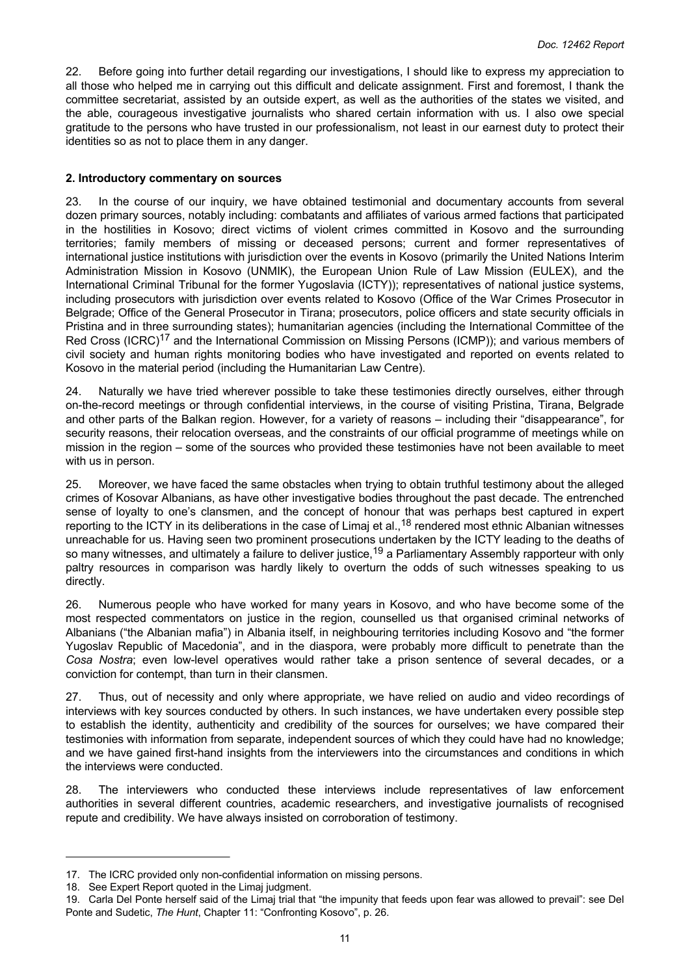<span id="page-10-0"></span>22. Before going into further detail regarding our investigations, I should like to express my appreciation to all those who helped me in carrying out this difficult and delicate assignment. First and foremost, I thank the committee secretariat, assisted by an outside expert, as well as the authorities of the states we visited, and the able, courageous investigative journalists who shared certain information with us. I also owe special gratitude to the persons who have trusted in our professionalism, not least in our earnest duty to protect their identities so as not to place them in any danger.

## **2. Introductory commentary on sources**

23. In the course of our inquiry, we have obtained testimonial and documentary accounts from several dozen primary sources, notably including: combatants and affiliates of various armed factions that participated in the hostilities in Kosovo; direct victims of violent crimes committed in Kosovo and the surrounding territories; family members of missing or deceased persons; current and former representatives of international justice institutions with jurisdiction over the events in Kosovo (primarily the United Nations Interim Administration Mission in Kosovo (UNMIK), the European Union Rule of Law Mission (EULEX), and the International Criminal Tribunal for the former Yugoslavia (ICTY)); representatives of national justice systems, including prosecutors with jurisdiction over events related to Kosovo (Office of the War Crimes Prosecutor in Belgrade; Office of the General Prosecutor in Tirana; prosecutors, police officers and state security officials in Pristina and in three surrounding states); humanitarian agencies (including the International Committee of the Red Cross (ICRC)<sup>17</sup> and the International Commission on Missing Persons (ICMP)); and various members of civil society and human rights monitoring bodies who have investigated and reported on events related to Kosovo in the material period (including the Humanitarian Law Centre).

24. Naturally we have tried wherever possible to take these testimonies directly ourselves, either through on-the-record meetings or through confidential interviews, in the course of visiting Pristina, Tirana, Belgrade and other parts of the Balkan region. However, for a variety of reasons – including their "disappearance", for security reasons, their relocation overseas, and the constraints of our official programme of meetings while on mission in the region – some of the sources who provided these testimonies have not been available to meet with us in person.

25. Moreover, we have faced the same obstacles when trying to obtain truthful testimony about the alleged crimes of Kosovar Albanians, as have other investigative bodies throughout the past decade. The entrenched sense of loyalty to one's clansmen, and the concept of honour that was perhaps best captured in expert reporting to the ICTY in its deliberations in the case of Limaj et al.,<sup>18</sup> rendered most ethnic Albanian witnesses unreachable for us. Having seen two prominent prosecutions undertaken by the ICTY leading to the deaths of so many witnesses, and ultimately a failure to deliver justice,<sup>19</sup> a Parliamentary Assembly rapporteur with only paltry resources in comparison was hardly likely to overturn the odds of such witnesses speaking to us directly.

26. Numerous people who have worked for many years in Kosovo, and who have become some of the most respected commentators on justice in the region, counselled us that organised criminal networks of Albanians ("the Albanian mafia") in Albania itself, in neighbouring territories including Kosovo and "the former Yugoslav Republic of Macedonia", and in the diaspora, were probably more difficult to penetrate than the *Cosa Nostra*; even low-level operatives would rather take a prison sentence of several decades, or a conviction for contempt, than turn in their clansmen.

27. Thus, out of necessity and only where appropriate, we have relied on audio and video recordings of interviews with key sources conducted by others. In such instances, we have undertaken every possible step to establish the identity, authenticity and credibility of the sources for ourselves; we have compared their testimonies with information from separate, independent sources of which they could have had no knowledge; and we have gained first-hand insights from the interviewers into the circumstances and conditions in which the interviews were conducted.

28. The interviewers who conducted these interviews include representatives of law enforcement authorities in several different countries, academic researchers, and investigative journalists of recognised repute and credibility. We have always insisted on corroboration of testimony.

<sup>17.</sup> The ICRC provided only non-confidential information on missing persons.

<sup>18.</sup> See Expert Report quoted in the Limaj judgment.

<sup>19.</sup> Carla Del Ponte herself said of the Limaj trial that "the impunity that feeds upon fear was allowed to prevail": see Del Ponte and Sudetic, *The Hunt*, Chapter 11: "Confronting Kosovo", p. 26.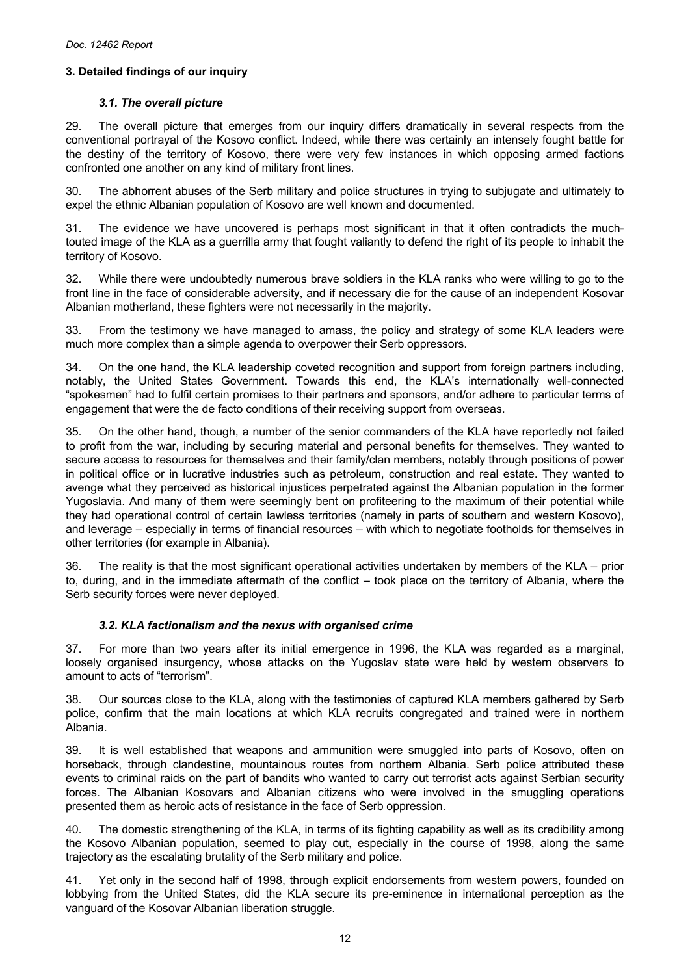# <span id="page-11-0"></span>**3. Detailed findings of our inquiry**

# *3.1. The overall picture*

29. The overall picture that emerges from our inquiry differs dramatically in several respects from the conventional portrayal of the Kosovo conflict. Indeed, while there was certainly an intensely fought battle for the destiny of the territory of Kosovo, there were very few instances in which opposing armed factions confronted one another on any kind of military front lines.

30. The abhorrent abuses of the Serb military and police structures in trying to subjugate and ultimately to expel the ethnic Albanian population of Kosovo are well known and documented.

31. The evidence we have uncovered is perhaps most significant in that it often contradicts the muchtouted image of the KLA as a guerrilla army that fought valiantly to defend the right of its people to inhabit the territory of Kosovo.

32. While there were undoubtedly numerous brave soldiers in the KLA ranks who were willing to go to the front line in the face of considerable adversity, and if necessary die for the cause of an independent Kosovar Albanian motherland, these fighters were not necessarily in the majority.

33. From the testimony we have managed to amass, the policy and strategy of some KLA leaders were much more complex than a simple agenda to overpower their Serb oppressors.

34. On the one hand, the KLA leadership coveted recognition and support from foreign partners including, notably, the United States Government. Towards this end, the KLA's internationally well-connected "spokesmen" had to fulfil certain promises to their partners and sponsors, and/or adhere to particular terms of engagement that were the de facto conditions of their receiving support from overseas.

35. On the other hand, though, a number of the senior commanders of the KLA have reportedly not failed to profit from the war, including by securing material and personal benefits for themselves. They wanted to secure access to resources for themselves and their family/clan members, notably through positions of power in political office or in lucrative industries such as petroleum, construction and real estate. They wanted to avenge what they perceived as historical injustices perpetrated against the Albanian population in the former Yugoslavia. And many of them were seemingly bent on profiteering to the maximum of their potential while they had operational control of certain lawless territories (namely in parts of southern and western Kosovo), and leverage – especially in terms of financial resources – with which to negotiate footholds for themselves in other territories (for example in Albania).

36. The reality is that the most significant operational activities undertaken by members of the KLA – prior to, during, and in the immediate aftermath of the conflict – took place on the territory of Albania, where the Serb security forces were never deployed.

# *3.2. KLA factionalism and the nexus with organised crime*

37. For more than two years after its initial emergence in 1996, the KLA was regarded as a marginal, loosely organised insurgency, whose attacks on the Yugoslav state were held by western observers to amount to acts of "terrorism".

Our sources close to the KLA, along with the testimonies of captured KLA members gathered by Serb police, confirm that the main locations at which KLA recruits congregated and trained were in northern Albania.

39. It is well established that weapons and ammunition were smuggled into parts of Kosovo, often on horseback, through clandestine, mountainous routes from northern Albania. Serb police attributed these events to criminal raids on the part of bandits who wanted to carry out terrorist acts against Serbian security forces. The Albanian Kosovars and Albanian citizens who were involved in the smuggling operations presented them as heroic acts of resistance in the face of Serb oppression.

40. The domestic strengthening of the KLA, in terms of its fighting capability as well as its credibility among the Kosovo Albanian population, seemed to play out, especially in the course of 1998, along the same trajectory as the escalating brutality of the Serb military and police.

41. Yet only in the second half of 1998, through explicit endorsements from western powers, founded on lobbying from the United States, did the KLA secure its pre-eminence in international perception as the vanguard of the Kosovar Albanian liberation struggle.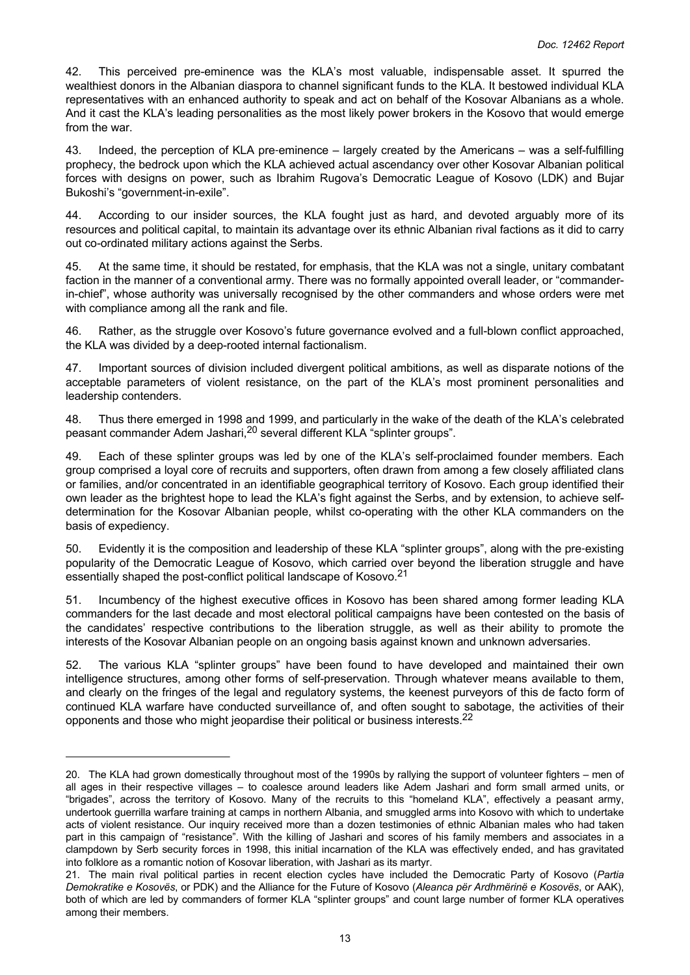42. This perceived pre-eminence was the KLA's most valuable, indispensable asset. It spurred the wealthiest donors in the Albanian diaspora to channel significant funds to the KLA. It bestowed individual KLA representatives with an enhanced authority to speak and act on behalf of the Kosovar Albanians as a whole. And it cast the KLA's leading personalities as the most likely power brokers in the Kosovo that would emerge from the war.

43. Indeed, the perception of KLA pre‑eminence – largely created by the Americans – was a self-fulfilling prophecy, the bedrock upon which the KLA achieved actual ascendancy over other Kosovar Albanian political forces with designs on power, such as Ibrahim Rugova's Democratic League of Kosovo (LDK) and Bujar Bukoshi's "government-in-exile".

44. According to our insider sources, the KLA fought just as hard, and devoted arguably more of its resources and political capital, to maintain its advantage over its ethnic Albanian rival factions as it did to carry out co-ordinated military actions against the Serbs.

45. At the same time, it should be restated, for emphasis, that the KLA was not a single, unitary combatant faction in the manner of a conventional army. There was no formally appointed overall leader, or "commanderin-chief", whose authority was universally recognised by the other commanders and whose orders were met with compliance among all the rank and file.

46. Rather, as the struggle over Kosovo's future governance evolved and a full-blown conflict approached, the KLA was divided by a deep-rooted internal factionalism.

47. Important sources of division included divergent political ambitions, as well as disparate notions of the acceptable parameters of violent resistance, on the part of the KLA's most prominent personalities and leadership contenders.

48. Thus there emerged in 1998 and 1999, and particularly in the wake of the death of the KLA's celebrated peasant commander Adem Jashari,20 several different KLA "splinter groups".

49. Each of these splinter groups was led by one of the KLA's self-proclaimed founder members. Each group comprised a loyal core of recruits and supporters, often drawn from among a few closely affiliated clans or families, and/or concentrated in an identifiable geographical territory of Kosovo. Each group identified their own leader as the brightest hope to lead the KLA's fight against the Serbs, and by extension, to achieve selfdetermination for the Kosovar Albanian people, whilst co-operating with the other KLA commanders on the basis of expediency.

50. Evidently it is the composition and leadership of these KLA "splinter groups", along with the pre‑existing popularity of the Democratic League of Kosovo, which carried over beyond the liberation struggle and have essentially shaped the post-conflict political landscape of Kosovo.<sup>21</sup>

51. Incumbency of the highest executive offices in Kosovo has been shared among former leading KLA commanders for the last decade and most electoral political campaigns have been contested on the basis of the candidates' respective contributions to the liberation struggle, as well as their ability to promote the interests of the Kosovar Albanian people on an ongoing basis against known and unknown adversaries.

52. The various KLA "splinter groups" have been found to have developed and maintained their own intelligence structures, among other forms of self-preservation. Through whatever means available to them, and clearly on the fringes of the legal and regulatory systems, the keenest purveyors of this de facto form of continued KLA warfare have conducted surveillance of, and often sought to sabotage, the activities of their opponents and those who might jeopardise their political or business interests.<sup>22</sup>

<sup>20.</sup> The KLA had grown domestically throughout most of the 1990s by rallying the support of volunteer fighters – men of all ages in their respective villages – to coalesce around leaders like Adem Jashari and form small armed units, or "brigades", across the territory of Kosovo. Many of the recruits to this "homeland KLA", effectively a peasant army, undertook guerrilla warfare training at camps in northern Albania, and smuggled arms into Kosovo with which to undertake acts of violent resistance. Our inquiry received more than a dozen testimonies of ethnic Albanian males who had taken part in this campaign of "resistance". With the killing of Jashari and scores of his family members and associates in a clampdown by Serb security forces in 1998, this initial incarnation of the KLA was effectively ended, and has gravitated into folklore as a romantic notion of Kosovar liberation, with Jashari as its martyr.

<sup>21.</sup> The main rival political parties in recent election cycles have included the Democratic Party of Kosovo (*Partia Demokratike e Kosovës*, or PDK) and the Alliance for the Future of Kosovo (*Aleanca për Ardhmërinë e Kosovës*, or AAK), both of which are led by commanders of former KLA "splinter groups" and count large number of former KLA operatives among their members.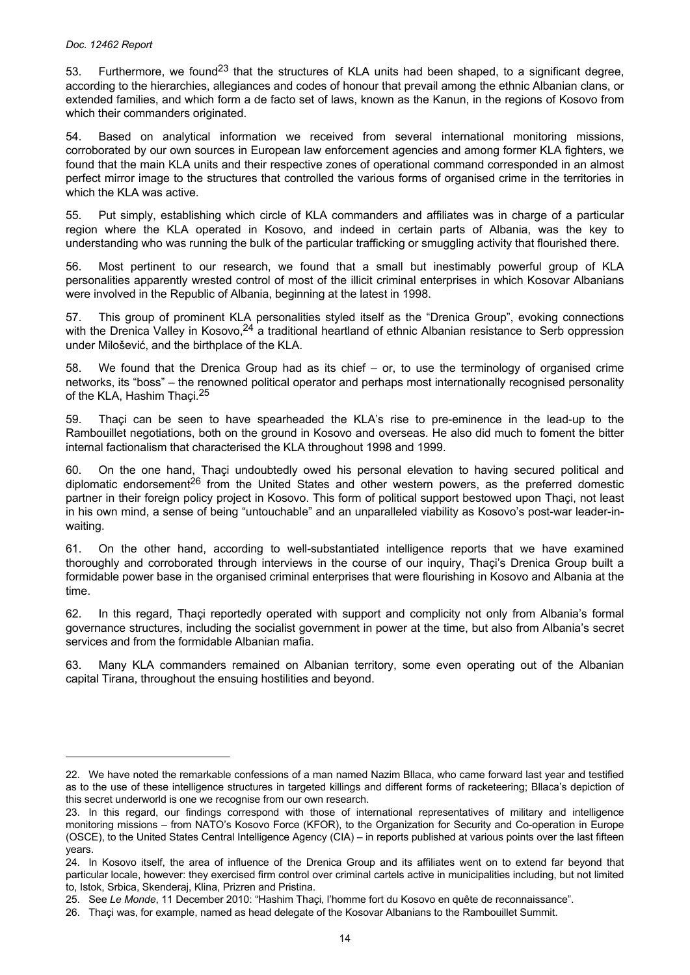53. Furthermore, we found<sup>23</sup> that the structures of KLA units had been shaped, to a significant degree, according to the hierarchies, allegiances and codes of honour that prevail among the ethnic Albanian clans, or extended families, and which form a de facto set of laws, known as the Kanun, in the regions of Kosovo from which their commanders originated.

54. Based on analytical information we received from several international monitoring missions, corroborated by our own sources in European law enforcement agencies and among former KLA fighters, we found that the main KLA units and their respective zones of operational command corresponded in an almost perfect mirror image to the structures that controlled the various forms of organised crime in the territories in which the KLA was active.

55. Put simply, establishing which circle of KLA commanders and affiliates was in charge of a particular region where the KLA operated in Kosovo, and indeed in certain parts of Albania, was the key to understanding who was running the bulk of the particular trafficking or smuggling activity that flourished there.

56. Most pertinent to our research, we found that a small but inestimably powerful group of KLA personalities apparently wrested control of most of the illicit criminal enterprises in which Kosovar Albanians were involved in the Republic of Albania, beginning at the latest in 1998.

57. This group of prominent KLA personalities styled itself as the "Drenica Group", evoking connections with the Drenica Valley in Kosovo.<sup>24</sup> a traditional heartland of ethnic Albanian resistance to Serb oppression under Milošević, and the birthplace of the KLA.

58. We found that the Drenica Group had as its chief – or, to use the terminology of organised crime networks, its "boss" – the renowned political operator and perhaps most internationally recognised personality of the KLA, Hashim Thaçi.<sup>25</sup>

59. Thaçi can be seen to have spearheaded the KLA's rise to pre-eminence in the lead-up to the Rambouillet negotiations, both on the ground in Kosovo and overseas. He also did much to foment the bitter internal factionalism that characterised the KLA throughout 1998 and 1999.

60. On the one hand, Thaçi undoubtedly owed his personal elevation to having secured political and diplomatic endorsement<sup>26</sup> from the United States and other western powers, as the preferred domestic partner in their foreign policy project in Kosovo. This form of political support bestowed upon Thaçi, not least in his own mind, a sense of being "untouchable" and an unparalleled viability as Kosovo's post-war leader-inwaiting.

61. On the other hand, according to well-substantiated intelligence reports that we have examined thoroughly and corroborated through interviews in the course of our inquiry, Thaçi's Drenica Group built a formidable power base in the organised criminal enterprises that were flourishing in Kosovo and Albania at the time.

62. In this regard, Thaçi reportedly operated with support and complicity not only from Albania's formal governance structures, including the socialist government in power at the time, but also from Albania's secret services and from the formidable Albanian mafia.

63. Many KLA commanders remained on Albanian territory, some even operating out of the Albanian capital Tirana, throughout the ensuing hostilities and beyond.

<sup>22.</sup> We have noted the remarkable confessions of a man named Nazim Bllaca, who came forward last year and testified as to the use of these intelligence structures in targeted killings and different forms of racketeering; Bllaca's depiction of this secret underworld is one we recognise from our own research.

<sup>23.</sup> In this regard, our findings correspond with those of international representatives of military and intelligence monitoring missions – from NATO's Kosovo Force (KFOR), to the Organization for Security and Co-operation in Europe (OSCE), to the United States Central Intelligence Agency (CIA) – in reports published at various points over the last fifteen years.

<sup>24.</sup> In Kosovo itself, the area of influence of the Drenica Group and its affiliates went on to extend far beyond that particular locale, however: they exercised firm control over criminal cartels active in municipalities including, but not limited to, Istok, Srbica, Skenderaj, Klina, Prizren and Pristina.

<sup>25.</sup> See *Le Monde*, 11 December 2010: "Hashim Thaçi, l'homme fort du Kosovo en quête de reconnaissance".

<sup>26.</sup> Thaçi was, for example, named as head delegate of the Kosovar Albanians to the Rambouillet Summit.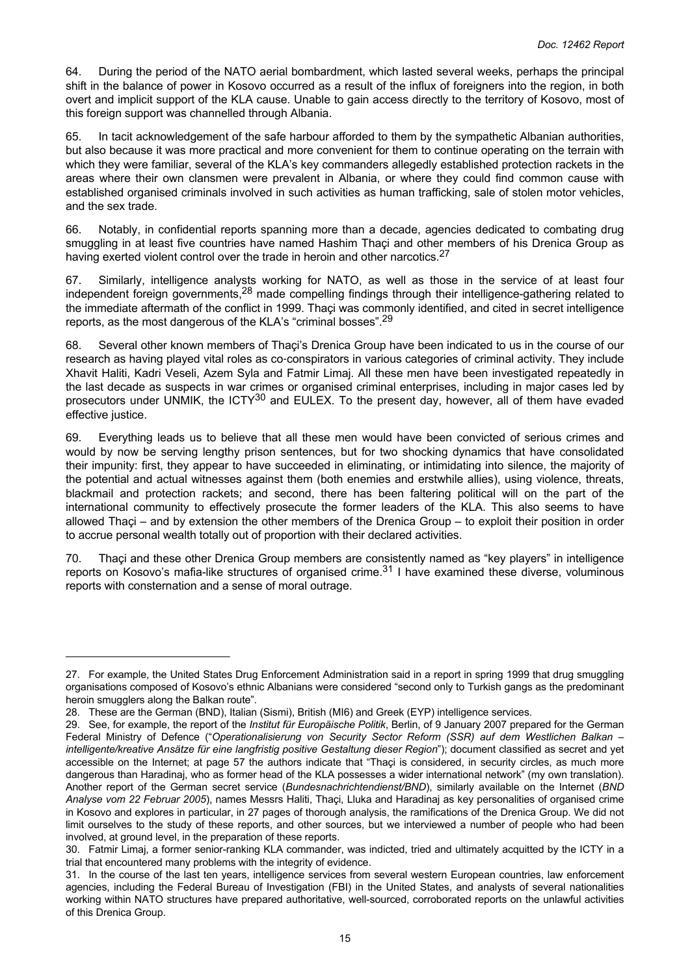64. During the period of the NATO aerial bombardment, which lasted several weeks, perhaps the principal shift in the balance of power in Kosovo occurred as a result of the influx of foreigners into the region, in both overt and implicit support of the KLA cause. Unable to gain access directly to the territory of Kosovo, most of this foreign support was channelled through Albania.

65. In tacit acknowledgement of the safe harbour afforded to them by the sympathetic Albanian authorities, but also because it was more practical and more convenient for them to continue operating on the terrain with which they were familiar, several of the KLA's key commanders allegedly established protection rackets in the areas where their own clansmen were prevalent in Albania, or where they could find common cause with established organised criminals involved in such activities as human trafficking, sale of stolen motor vehicles, and the sex trade.

66. Notably, in confidential reports spanning more than a decade, agencies dedicated to combating drug smuggling in at least five countries have named Hashim Thaçi and other members of his Drenica Group as having exerted violent control over the trade in heroin and other narcotics.<sup>27</sup>

67. Similarly, intelligence analysts working for NATO, as well as those in the service of at least four independent foreign governments,<sup>28</sup> made compelling findings through their intelligence-gathering related to the immediate aftermath of the conflict in 1999. Thaçi was commonly identified, and cited in secret intelligence reports, as the most dangerous of the KLA's "criminal bosses".<sup>29</sup>

68. Several other known members of Thaçi's Drenica Group have been indicated to us in the course of our research as having played vital roles as co-conspirators in various categories of criminal activity. They include Xhavit Haliti, Kadri Veseli, Azem Syla and Fatmir Limaj. All these men have been investigated repeatedly in the last decade as suspects in war crimes or organised criminal enterprises, including in major cases led by prosecutors under UNMIK, the ICTY<sup>30</sup> and EULEX. To the present day, however, all of them have evaded effective justice.

69. Everything leads us to believe that all these men would have been convicted of serious crimes and would by now be serving lengthy prison sentences, but for two shocking dynamics that have consolidated their impunity: first, they appear to have succeeded in eliminating, or intimidating into silence, the majority of the potential and actual witnesses against them (both enemies and erstwhile allies), using violence, threats, blackmail and protection rackets; and second, there has been faltering political will on the part of the international community to effectively prosecute the former leaders of the KLA. This also seems to have allowed Thaçi – and by extension the other members of the Drenica Group – to exploit their position in order to accrue personal wealth totally out of proportion with their declared activities.

70. Thaçi and these other Drenica Group members are consistently named as "key players" in intelligence reports on Kosovo's mafia-like structures of organised crime.<sup>31</sup> I have examined these diverse, voluminous reports with consternation and a sense of moral outrage.

<sup>27.</sup> For example, the United States Drug Enforcement Administration said in a report in spring 1999 that drug smuggling organisations composed of Kosovo's ethnic Albanians were considered "second only to Turkish gangs as the predominant heroin smugglers along the Balkan route".

<sup>28.</sup> These are the German (BND), Italian (Sismi), British (MI6) and Greek (EYP) intelligence services.

<sup>29.</sup> See, for example, the report of the *Institut für Europäische Politik*, Berlin, of 9 January 2007 prepared for the German Federal Ministry of Defence ("*Operationalisierung von Security Sector Reform (SSR) auf dem Westlichen Balkan – intelligente/kreative Ansätze für eine langfristig positive Gestaltung dieser Region*"); document classified as secret and yet accessible on the Internet; at page 57 the authors indicate that "Thaçi is considered, in security circles, as much more dangerous than Haradinaj, who as former head of the KLA possesses a wider international network" (my own translation). Another report of the German secret service (*Bundesnachrichtendienst/BND*), similarly available on the Internet (*BND Analyse vom 22 Februar 2005*), names Messrs Haliti, Thaçi, Lluka and Haradinaj as key personalities of organised crime in Kosovo and explores in particular, in 27 pages of thorough analysis, the ramifications of the Drenica Group. We did not limit ourselves to the study of these reports, and other sources, but we interviewed a number of people who had been involved, at ground level, in the preparation of these reports.

<sup>30.</sup> Fatmir Limaj, a former senior-ranking KLA commander, was indicted, tried and ultimately acquitted by the ICTY in a trial that encountered many problems with the integrity of evidence.

<sup>31.</sup> In the course of the last ten years, intelligence services from several western European countries, law enforcement agencies, including the Federal Bureau of Investigation (FBI) in the United States, and analysts of several nationalities working within NATO structures have prepared authoritative, well-sourced, corroborated reports on the unlawful activities of this Drenica Group.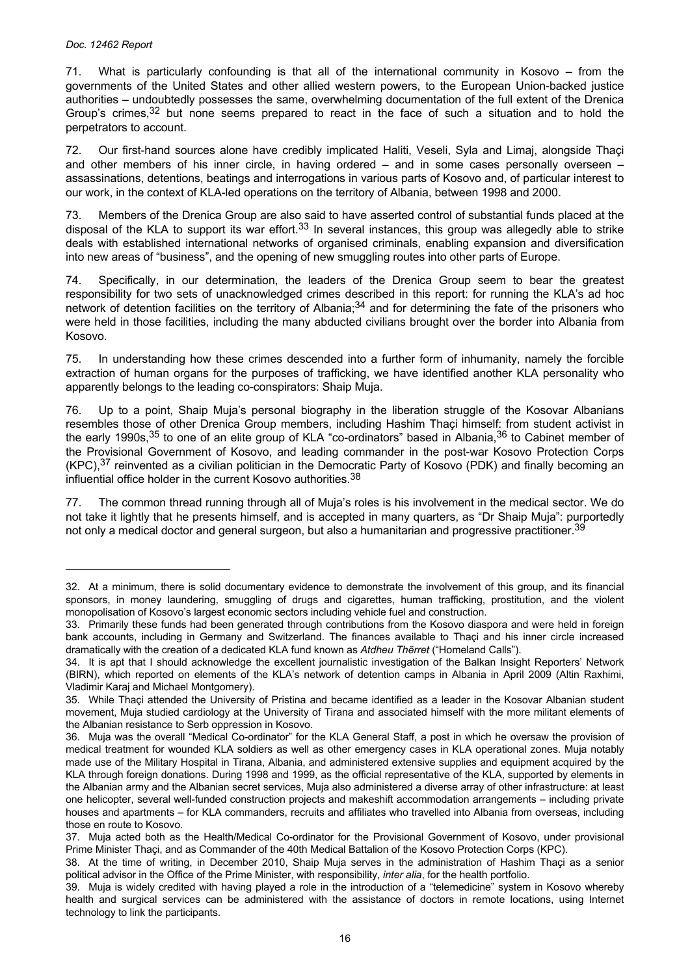71. What is particularly confounding is that all of the international community in Kosovo – from the governments of the United States and other allied western powers, to the European Union-backed justice authorities – undoubtedly possesses the same, overwhelming documentation of the full extent of the Drenica Group's crimes,  $32$  but none seems prepared to react in the face of such a situation and to hold the perpetrators to account.

72. Our first-hand sources alone have credibly implicated Haliti, Veseli, Syla and Limaj, alongside Thaçi and other members of his inner circle, in having ordered – and in some cases personally overseen – assassinations, detentions, beatings and interrogations in various parts of Kosovo and, of particular interest to our work, in the context of KLA-led operations on the territory of Albania, between 1998 and 2000.

73. Members of the Drenica Group are also said to have asserted control of substantial funds placed at the disposal of the KLA to support its war effort.<sup>33</sup> In several instances, this group was allegedly able to strike deals with established international networks of organised criminals, enabling expansion and diversification into new areas of "business", and the opening of new smuggling routes into other parts of Europe.

74. Specifically, in our determination, the leaders of the Drenica Group seem to bear the greatest responsibility for two sets of unacknowledged crimes described in this report: for running the KLA's ad hoc network of detention facilities on the territory of Albania;<sup>34</sup> and for determining the fate of the prisoners who were held in those facilities, including the many abducted civilians brought over the border into Albania from Kosovo.

75. In understanding how these crimes descended into a further form of inhumanity, namely the forcible extraction of human organs for the purposes of trafficking, we have identified another KLA personality who apparently belongs to the leading co-conspirators: Shaip Muja.

76. Up to a point, Shaip Muja's personal biography in the liberation struggle of the Kosovar Albanians resembles those of other Drenica Group members, including Hashim Thaçi himself: from student activist in the early 1990s,<sup>35</sup> to one of an elite group of KLA "co-ordinators" based in Albania,<sup>36</sup> to Cabinet member of the Provisional Government of Kosovo, and leading commander in the post-war Kosovo Protection Corps  $(KPC)$ ,<sup>37</sup> reinvented as a civilian politician in the Democratic Party of Kosovo (PDK) and finally becoming an influential office holder in the current Kosovo authorities.<sup>38</sup>

77. The common thread running through all of Muja's roles is his involvement in the medical sector. We do not take it lightly that he presents himself, and is accepted in many quarters, as "Dr Shaip Muja": purportedly not only a medical doctor and general surgeon, but also a humanitarian and progressive practitioner.<sup>39</sup>

<sup>32.</sup> At a minimum, there is solid documentary evidence to demonstrate the involvement of this group, and its financial sponsors, in money laundering, smuggling of drugs and cigarettes, human trafficking, prostitution, and the violent monopolisation of Kosovo's largest economic sectors including vehicle fuel and construction.

<sup>33.</sup> Primarily these funds had been generated through contributions from the Kosovo diaspora and were held in foreign bank accounts, including in Germany and Switzerland. The finances available to Thaçi and his inner circle increased dramatically with the creation of a dedicated KLA fund known as *Atdheu Thërret* ("Homeland Calls").

<sup>34.</sup> It is apt that I should acknowledge the excellent journalistic investigation of the Balkan Insight Reporters' Network (BIRN), which reported on elements of the KLA's network of detention camps in Albania in April 2009 (Altin Raxhimi, Vladimir Karaj and Michael Montgomery).

<sup>35.</sup> While Thaçi attended the University of Pristina and became identified as a leader in the Kosovar Albanian student movement, Muja studied cardiology at the University of Tirana and associated himself with the more militant elements of the Albanian resistance to Serb oppression in Kosovo.

<sup>36.</sup> Muja was the overall "Medical Co-ordinator" for the KLA General Staff, a post in which he oversaw the provision of medical treatment for wounded KLA soldiers as well as other emergency cases in KLA operational zones. Muja notably made use of the Military Hospital in Tirana, Albania, and administered extensive supplies and equipment acquired by the KLA through foreign donations. During 1998 and 1999, as the official representative of the KLA, supported by elements in the Albanian army and the Albanian secret services, Muja also administered a diverse array of other infrastructure: at least one helicopter, several well-funded construction projects and makeshift accommodation arrangements – including private houses and apartments – for KLA commanders, recruits and affiliates who travelled into Albania from overseas, including those en route to Kosovo.

<sup>37.</sup> Muja acted both as the Health/Medical Co-ordinator for the Provisional Government of Kosovo, under provisional Prime Minister Thaçi, and as Commander of the 40th Medical Battalion of the Kosovo Protection Corps (KPC).

<sup>38.</sup> At the time of writing, in December 2010, Shaip Muja serves in the administration of Hashim Thaçi as a senior political advisor in the Office of the Prime Minister, with responsibility, *inter alia*, for the health portfolio.

<sup>39.</sup> Muja is widely credited with having played a role in the introduction of a "telemedicine" system in Kosovo whereby health and surgical services can be administered with the assistance of doctors in remote locations, using Internet technology to link the participants.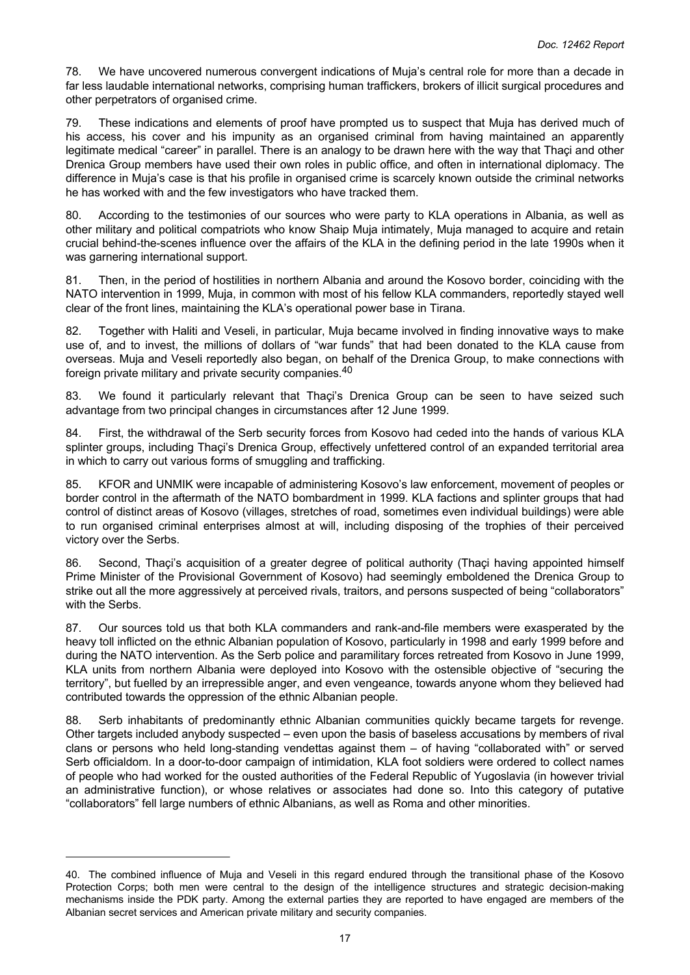78. We have uncovered numerous convergent indications of Muja's central role for more than a decade in far less laudable international networks, comprising human traffickers, brokers of illicit surgical procedures and other perpetrators of organised crime.

79. These indications and elements of proof have prompted us to suspect that Muja has derived much of his access, his cover and his impunity as an organised criminal from having maintained an apparently legitimate medical "career" in parallel. There is an analogy to be drawn here with the way that Thaçi and other Drenica Group members have used their own roles in public office, and often in international diplomacy. The difference in Muja's case is that his profile in organised crime is scarcely known outside the criminal networks he has worked with and the few investigators who have tracked them.

80. According to the testimonies of our sources who were party to KLA operations in Albania, as well as other military and political compatriots who know Shaip Muja intimately, Muja managed to acquire and retain crucial behind-the-scenes influence over the affairs of the KLA in the defining period in the late 1990s when it was garnering international support.

81. Then, in the period of hostilities in northern Albania and around the Kosovo border, coinciding with the NATO intervention in 1999, Muja, in common with most of his fellow KLA commanders, reportedly stayed well clear of the front lines, maintaining the KLA's operational power base in Tirana.

82. Together with Haliti and Veseli, in particular, Muja became involved in finding innovative ways to make use of, and to invest, the millions of dollars of "war funds" that had been donated to the KLA cause from overseas. Muja and Veseli reportedly also began, on behalf of the Drenica Group, to make connections with foreign private military and private security companies.<sup>40</sup>

83. We found it particularly relevant that Thaçi's Drenica Group can be seen to have seized such advantage from two principal changes in circumstances after 12 June 1999.

84. First, the withdrawal of the Serb security forces from Kosovo had ceded into the hands of various KLA splinter groups, including Thaçi's Drenica Group, effectively unfettered control of an expanded territorial area in which to carry out various forms of smuggling and trafficking.

85. KFOR and UNMIK were incapable of administering Kosovo's law enforcement, movement of peoples or border control in the aftermath of the NATO bombardment in 1999. KLA factions and splinter groups that had control of distinct areas of Kosovo (villages, stretches of road, sometimes even individual buildings) were able to run organised criminal enterprises almost at will, including disposing of the trophies of their perceived victory over the Serbs.

86. Second, Thaçi's acquisition of a greater degree of political authority (Thaçi having appointed himself Prime Minister of the Provisional Government of Kosovo) had seemingly emboldened the Drenica Group to strike out all the more aggressively at perceived rivals, traitors, and persons suspected of being "collaborators" with the Serbs.

87. Our sources told us that both KLA commanders and rank-and-file members were exasperated by the heavy toll inflicted on the ethnic Albanian population of Kosovo, particularly in 1998 and early 1999 before and during the NATO intervention. As the Serb police and paramilitary forces retreated from Kosovo in June 1999, KLA units from northern Albania were deployed into Kosovo with the ostensible objective of "securing the territory", but fuelled by an irrepressible anger, and even vengeance, towards anyone whom they believed had contributed towards the oppression of the ethnic Albanian people.

88. Serb inhabitants of predominantly ethnic Albanian communities quickly became targets for revenge. Other targets included anybody suspected – even upon the basis of baseless accusations by members of rival clans or persons who held long-standing vendettas against them – of having "collaborated with" or served Serb officialdom. In a door-to-door campaign of intimidation, KLA foot soldiers were ordered to collect names of people who had worked for the ousted authorities of the Federal Republic of Yugoslavia (in however trivial an administrative function), or whose relatives or associates had done so. Into this category of putative "collaborators" fell large numbers of ethnic Albanians, as well as Roma and other minorities.

<sup>40.</sup> The combined influence of Muja and Veseli in this regard endured through the transitional phase of the Kosovo Protection Corps; both men were central to the design of the intelligence structures and strategic decision-making mechanisms inside the PDK party. Among the external parties they are reported to have engaged are members of the Albanian secret services and American private military and security companies.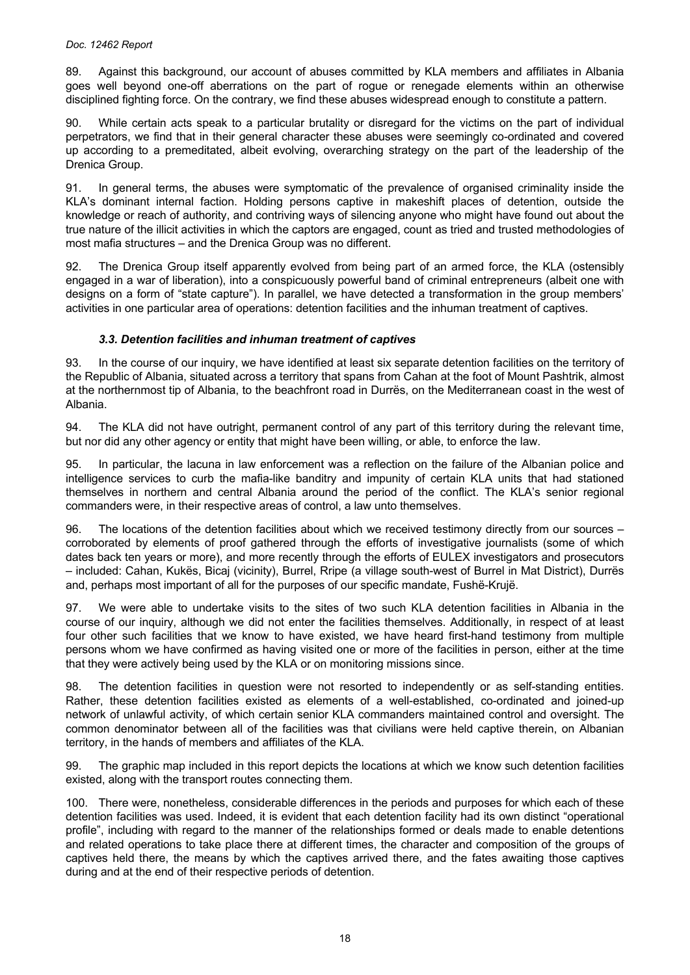89. Against this background, our account of abuses committed by KLA members and affiliates in Albania goes well beyond one-off aberrations on the part of rogue or renegade elements within an otherwise disciplined fighting force. On the contrary, we find these abuses widespread enough to constitute a pattern.

90. While certain acts speak to a particular brutality or disregard for the victims on the part of individual perpetrators, we find that in their general character these abuses were seemingly co-ordinated and covered up according to a premeditated, albeit evolving, overarching strategy on the part of the leadership of the Drenica Group.

91. In general terms, the abuses were symptomatic of the prevalence of organised criminality inside the KLA's dominant internal faction. Holding persons captive in makeshift places of detention, outside the knowledge or reach of authority, and contriving ways of silencing anyone who might have found out about the true nature of the illicit activities in which the captors are engaged, count as tried and trusted methodologies of most mafia structures – and the Drenica Group was no different.

92. The Drenica Group itself apparently evolved from being part of an armed force, the KLA (ostensibly engaged in a war of liberation), into a conspicuously powerful band of criminal entrepreneurs (albeit one with designs on a form of "state capture"). In parallel, we have detected a transformation in the group members' activities in one particular area of operations: detention facilities and the inhuman treatment of captives.

# *3.3. Detention facilities and inhuman treatment of captives*

93. In the course of our inquiry, we have identified at least six separate detention facilities on the territory of the Republic of Albania, situated across a territory that spans from Cahan at the foot of Mount Pashtrik, almost at the northernmost tip of Albania, to the beachfront road in Durrës, on the Mediterranean coast in the west of Albania.

94. The KLA did not have outright, permanent control of any part of this territory during the relevant time, but nor did any other agency or entity that might have been willing, or able, to enforce the law.

In particular, the lacuna in law enforcement was a reflection on the failure of the Albanian police and intelligence services to curb the mafia-like banditry and impunity of certain KLA units that had stationed themselves in northern and central Albania around the period of the conflict. The KLA's senior regional commanders were, in their respective areas of control, a law unto themselves.

96. The locations of the detention facilities about which we received testimony directly from our sources – corroborated by elements of proof gathered through the efforts of investigative journalists (some of which dates back ten years or more), and more recently through the efforts of EULEX investigators and prosecutors – included: Cahan, Kukës, Bicaj (vicinity), Burrel, Rripe (a village south-west of Burrel in Mat District), Durrës and, perhaps most important of all for the purposes of our specific mandate, Fushë-Krujë.

97. We were able to undertake visits to the sites of two such KLA detention facilities in Albania in the course of our inquiry, although we did not enter the facilities themselves. Additionally, in respect of at least four other such facilities that we know to have existed, we have heard first-hand testimony from multiple persons whom we have confirmed as having visited one or more of the facilities in person, either at the time that they were actively being used by the KLA or on monitoring missions since.

98. The detention facilities in question were not resorted to independently or as self-standing entities. Rather, these detention facilities existed as elements of a well-established, co-ordinated and joined-up network of unlawful activity, of which certain senior KLA commanders maintained control and oversight. The common denominator between all of the facilities was that civilians were held captive therein, on Albanian territory, in the hands of members and affiliates of the KLA.

99. The graphic map included in this report depicts the locations at which we know such detention facilities existed, along with the transport routes connecting them.

100. There were, nonetheless, considerable differences in the periods and purposes for which each of these detention facilities was used. Indeed, it is evident that each detention facility had its own distinct "operational profile", including with regard to the manner of the relationships formed or deals made to enable detentions and related operations to take place there at different times, the character and composition of the groups of captives held there, the means by which the captives arrived there, and the fates awaiting those captives during and at the end of their respective periods of detention.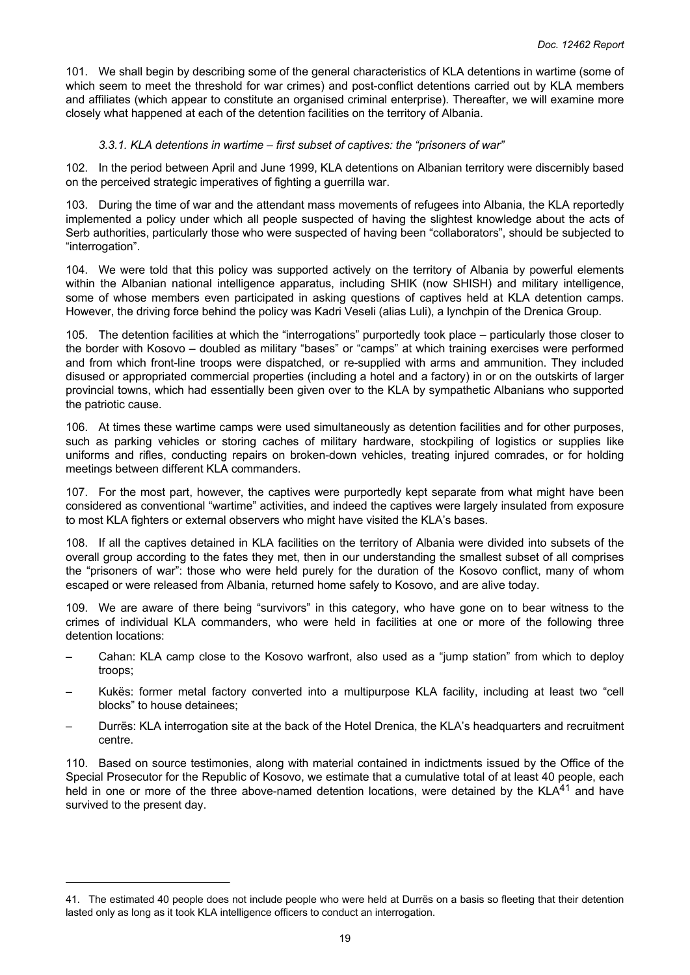101. We shall begin by describing some of the general characteristics of KLA detentions in wartime (some of which seem to meet the threshold for war crimes) and post-conflict detentions carried out by KLA members and affiliates (which appear to constitute an organised criminal enterprise). Thereafter, we will examine more closely what happened at each of the detention facilities on the territory of Albania.

## *3.3.1. KLA detentions in wartime – first subset of captives: the "prisoners of war"*

102. In the period between April and June 1999, KLA detentions on Albanian territory were discernibly based on the perceived strategic imperatives of fighting a guerrilla war.

103. During the time of war and the attendant mass movements of refugees into Albania, the KLA reportedly implemented a policy under which all people suspected of having the slightest knowledge about the acts of Serb authorities, particularly those who were suspected of having been "collaborators", should be subjected to "interrogation".

104. We were told that this policy was supported actively on the territory of Albania by powerful elements within the Albanian national intelligence apparatus, including SHIK (now SHISH) and military intelligence, some of whose members even participated in asking questions of captives held at KLA detention camps. However, the driving force behind the policy was Kadri Veseli (alias Luli), a lynchpin of the Drenica Group.

105. The detention facilities at which the "interrogations" purportedly took place – particularly those closer to the border with Kosovo – doubled as military "bases" or "camps" at which training exercises were performed and from which front-line troops were dispatched, or re-supplied with arms and ammunition. They included disused or appropriated commercial properties (including a hotel and a factory) in or on the outskirts of larger provincial towns, which had essentially been given over to the KLA by sympathetic Albanians who supported the patriotic cause.

106. At times these wartime camps were used simultaneously as detention facilities and for other purposes, such as parking vehicles or storing caches of military hardware, stockpiling of logistics or supplies like uniforms and rifles, conducting repairs on broken-down vehicles, treating injured comrades, or for holding meetings between different KLA commanders.

107. For the most part, however, the captives were purportedly kept separate from what might have been considered as conventional "wartime" activities, and indeed the captives were largely insulated from exposure to most KLA fighters or external observers who might have visited the KLA's bases.

108. If all the captives detained in KLA facilities on the territory of Albania were divided into subsets of the overall group according to the fates they met, then in our understanding the smallest subset of all comprises the "prisoners of war": those who were held purely for the duration of the Kosovo conflict, many of whom escaped or were released from Albania, returned home safely to Kosovo, and are alive today.

109. We are aware of there being "survivors" in this category, who have gone on to bear witness to the crimes of individual KLA commanders, who were held in facilities at one or more of the following three detention locations:

- Cahan: KLA camp close to the Kosovo warfront, also used as a "jump station" from which to deploy troops;
- Kukës: former metal factory converted into a multipurpose KLA facility, including at least two "cell blocks" to house detainees;
- Durrës: KLA interrogation site at the back of the Hotel Drenica, the KLA's headquarters and recruitment centre.

110. Based on source testimonies, along with material contained in indictments issued by the Office of the Special Prosecutor for the Republic of Kosovo, we estimate that a cumulative total of at least 40 people, each held in one or more of the three above-named detention locations, were detained by the KLA<sup>41</sup> and have survived to the present day.

<sup>41.</sup> The estimated 40 people does not include people who were held at Durrës on a basis so fleeting that their detention lasted only as long as it took KLA intelligence officers to conduct an interrogation.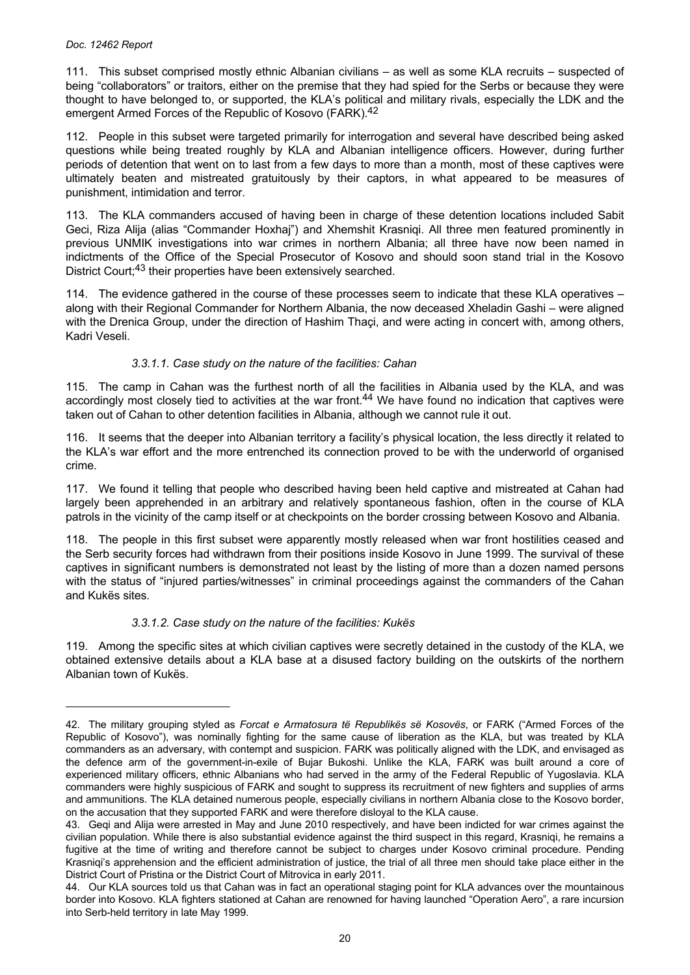111. This subset comprised mostly ethnic Albanian civilians – as well as some KLA recruits – suspected of being "collaborators" or traitors, either on the premise that they had spied for the Serbs or because they were thought to have belonged to, or supported, the KLA's political and military rivals, especially the LDK and the emergent Armed Forces of the Republic of Kosovo (FARK).<sup>42</sup>

112. People in this subset were targeted primarily for interrogation and several have described being asked questions while being treated roughly by KLA and Albanian intelligence officers. However, during further periods of detention that went on to last from a few days to more than a month, most of these captives were ultimately beaten and mistreated gratuitously by their captors, in what appeared to be measures of punishment, intimidation and terror.

113. The KLA commanders accused of having been in charge of these detention locations included Sabit Geci, Riza Alija (alias "Commander Hoxhaj") and Xhemshit Krasniqi. All three men featured prominently in previous UNMIK investigations into war crimes in northern Albania; all three have now been named in indictments of the Office of the Special Prosecutor of Kosovo and should soon stand trial in the Kosovo District Court;<sup>43</sup> their properties have been extensively searched.

114. The evidence gathered in the course of these processes seem to indicate that these KLA operatives – along with their Regional Commander for Northern Albania, the now deceased Xheladin Gashi – were aligned with the Drenica Group, under the direction of Hashim Thaçi, and were acting in concert with, among others, Kadri Veseli.

## *3.3.1.1. Case study on the nature of the facilities: Cahan*

115. The camp in Cahan was the furthest north of all the facilities in Albania used by the KLA, and was accordingly most closely tied to activities at the war front.<sup>44</sup> We have found no indication that captives were taken out of Cahan to other detention facilities in Albania, although we cannot rule it out.

116. It seems that the deeper into Albanian territory a facility's physical location, the less directly it related to the KLA's war effort and the more entrenched its connection proved to be with the underworld of organised crime.

117. We found it telling that people who described having been held captive and mistreated at Cahan had largely been apprehended in an arbitrary and relatively spontaneous fashion, often in the course of KLA patrols in the vicinity of the camp itself or at checkpoints on the border crossing between Kosovo and Albania.

118. The people in this first subset were apparently mostly released when war front hostilities ceased and the Serb security forces had withdrawn from their positions inside Kosovo in June 1999. The survival of these captives in significant numbers is demonstrated not least by the listing of more than a dozen named persons with the status of "injured parties/witnesses" in criminal proceedings against the commanders of the Cahan and Kukës sites.

## *3.3.1.2. Case study on the nature of the facilities: Kukës*

119. Among the specific sites at which civilian captives were secretly detained in the custody of the KLA, we obtained extensive details about a KLA base at a disused factory building on the outskirts of the northern Albanian town of Kukës.

<sup>42.</sup> The military grouping styled as *Forcat e Armatosura të Republikës së Kosovës*, or FARK ("Armed Forces of the Republic of Kosovo"), was nominally fighting for the same cause of liberation as the KLA, but was treated by KLA commanders as an adversary, with contempt and suspicion. FARK was politically aligned with the LDK, and envisaged as the defence arm of the government-in-exile of Bujar Bukoshi. Unlike the KLA, FARK was built around a core of experienced military officers, ethnic Albanians who had served in the army of the Federal Republic of Yugoslavia. KLA commanders were highly suspicious of FARK and sought to suppress its recruitment of new fighters and supplies of arms and ammunitions. The KLA detained numerous people, especially civilians in northern Albania close to the Kosovo border, on the accusation that they supported FARK and were therefore disloyal to the KLA cause.

<sup>43.</sup> Geqi and Alija were arrested in May and June 2010 respectively, and have been indicted for war crimes against the civilian population. While there is also substantial evidence against the third suspect in this regard, Krasniqi, he remains a fugitive at the time of writing and therefore cannot be subject to charges under Kosovo criminal procedure. Pending Krasniqi's apprehension and the efficient administration of justice, the trial of all three men should take place either in the District Court of Pristina or the District Court of Mitrovica in early 2011.

<sup>44.</sup> Our KLA sources told us that Cahan was in fact an operational staging point for KLA advances over the mountainous border into Kosovo. KLA fighters stationed at Cahan are renowned for having launched "Operation Aero", a rare incursion into Serb-held territory in late May 1999.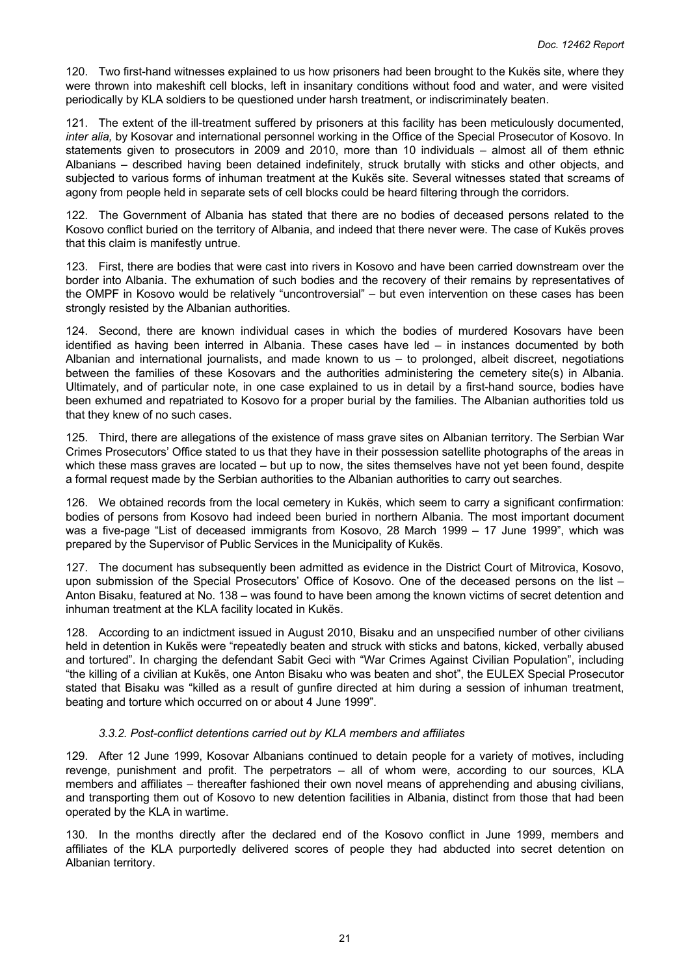120. Two first-hand witnesses explained to us how prisoners had been brought to the Kukës site, where they were thrown into makeshift cell blocks, left in insanitary conditions without food and water, and were visited periodically by KLA soldiers to be questioned under harsh treatment, or indiscriminately beaten.

121. The extent of the ill-treatment suffered by prisoners at this facility has been meticulously documented, *inter alia,* by Kosovar and international personnel working in the Office of the Special Prosecutor of Kosovo. In statements given to prosecutors in 2009 and 2010, more than 10 individuals – almost all of them ethnic Albanians – described having been detained indefinitely, struck brutally with sticks and other objects, and subjected to various forms of inhuman treatment at the Kukës site. Several witnesses stated that screams of agony from people held in separate sets of cell blocks could be heard filtering through the corridors.

122. The Government of Albania has stated that there are no bodies of deceased persons related to the Kosovo conflict buried on the territory of Albania, and indeed that there never were. The case of Kukës proves that this claim is manifestly untrue.

123. First, there are bodies that were cast into rivers in Kosovo and have been carried downstream over the border into Albania. The exhumation of such bodies and the recovery of their remains by representatives of the OMPF in Kosovo would be relatively "uncontroversial" – but even intervention on these cases has been strongly resisted by the Albanian authorities.

124. Second, there are known individual cases in which the bodies of murdered Kosovars have been identified as having been interred in Albania. These cases have led – in instances documented by both Albanian and international journalists, and made known to us – to prolonged, albeit discreet, negotiations between the families of these Kosovars and the authorities administering the cemetery site(s) in Albania. Ultimately, and of particular note, in one case explained to us in detail by a first-hand source, bodies have been exhumed and repatriated to Kosovo for a proper burial by the families. The Albanian authorities told us that they knew of no such cases.

125. Third, there are allegations of the existence of mass grave sites on Albanian territory. The Serbian War Crimes Prosecutors' Office stated to us that they have in their possession satellite photographs of the areas in which these mass graves are located – but up to now, the sites themselves have not yet been found, despite a formal request made by the Serbian authorities to the Albanian authorities to carry out searches.

126. We obtained records from the local cemetery in Kukës, which seem to carry a significant confirmation: bodies of persons from Kosovo had indeed been buried in northern Albania. The most important document was a five-page "List of deceased immigrants from Kosovo, 28 March 1999 – 17 June 1999", which was prepared by the Supervisor of Public Services in the Municipality of Kukës.

127. The document has subsequently been admitted as evidence in the District Court of Mitrovica, Kosovo, upon submission of the Special Prosecutors' Office of Kosovo. One of the deceased persons on the list – Anton Bisaku, featured at No. 138 – was found to have been among the known victims of secret detention and inhuman treatment at the KLA facility located in Kukës.

128. According to an indictment issued in August 2010, Bisaku and an unspecified number of other civilians held in detention in Kukës were "repeatedly beaten and struck with sticks and batons, kicked, verbally abused and tortured". In charging the defendant Sabit Geci with "War Crimes Against Civilian Population", including "the killing of a civilian at Kukës, one Anton Bisaku who was beaten and shot", the EULEX Special Prosecutor stated that Bisaku was "killed as a result of gunfire directed at him during a session of inhuman treatment, beating and torture which occurred on or about 4 June 1999".

## *3.3.2. Post-conflict detentions carried out by KLA members and affiliates*

129. After 12 June 1999, Kosovar Albanians continued to detain people for a variety of motives, including revenge, punishment and profit. The perpetrators – all of whom were, according to our sources, KLA members and affiliates – thereafter fashioned their own novel means of apprehending and abusing civilians, and transporting them out of Kosovo to new detention facilities in Albania, distinct from those that had been operated by the KLA in wartime.

130. In the months directly after the declared end of the Kosovo conflict in June 1999, members and affiliates of the KLA purportedly delivered scores of people they had abducted into secret detention on Albanian territory.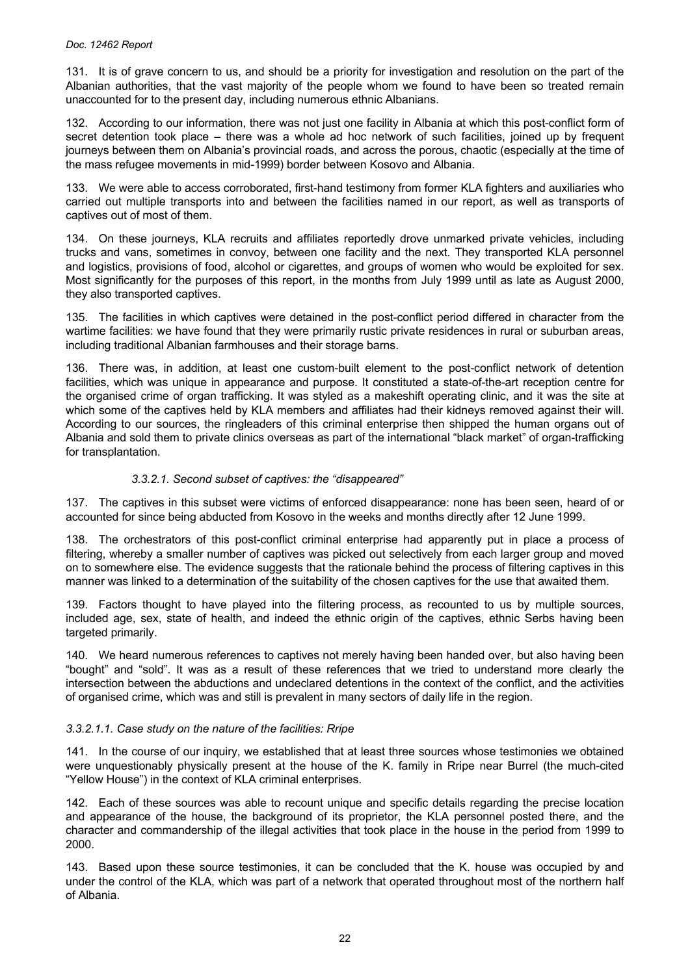131. It is of grave concern to us, and should be a priority for investigation and resolution on the part of the Albanian authorities, that the vast majority of the people whom we found to have been so treated remain unaccounted for to the present day, including numerous ethnic Albanians.

132. According to our information, there was not just one facility in Albania at which this post-conflict form of secret detention took place – there was a whole ad hoc network of such facilities, joined up by frequent journeys between them on Albania's provincial roads, and across the porous, chaotic (especially at the time of the mass refugee movements in mid-1999) border between Kosovo and Albania.

133. We were able to access corroborated, first-hand testimony from former KLA fighters and auxiliaries who carried out multiple transports into and between the facilities named in our report, as well as transports of captives out of most of them.

134. On these journeys, KLA recruits and affiliates reportedly drove unmarked private vehicles, including trucks and vans, sometimes in convoy, between one facility and the next. They transported KLA personnel and logistics, provisions of food, alcohol or cigarettes, and groups of women who would be exploited for sex. Most significantly for the purposes of this report, in the months from July 1999 until as late as August 2000, they also transported captives.

135. The facilities in which captives were detained in the post-conflict period differed in character from the wartime facilities: we have found that they were primarily rustic private residences in rural or suburban areas, including traditional Albanian farmhouses and their storage barns.

136. There was, in addition, at least one custom-built element to the post-conflict network of detention facilities, which was unique in appearance and purpose. It constituted a state-of-the-art reception centre for the organised crime of organ trafficking. It was styled as a makeshift operating clinic, and it was the site at which some of the captives held by KLA members and affiliates had their kidneys removed against their will. According to our sources, the ringleaders of this criminal enterprise then shipped the human organs out of Albania and sold them to private clinics overseas as part of the international "black market" of organ-trafficking for transplantation.

# *3.3.2.1. Second subset of captives: the "disappeared"*

137. The captives in this subset were victims of enforced disappearance: none has been seen, heard of or accounted for since being abducted from Kosovo in the weeks and months directly after 12 June 1999.

138. The orchestrators of this post-conflict criminal enterprise had apparently put in place a process of filtering, whereby a smaller number of captives was picked out selectively from each larger group and moved on to somewhere else. The evidence suggests that the rationale behind the process of filtering captives in this manner was linked to a determination of the suitability of the chosen captives for the use that awaited them.

139. Factors thought to have played into the filtering process, as recounted to us by multiple sources, included age, sex, state of health, and indeed the ethnic origin of the captives, ethnic Serbs having been targeted primarily.

140. We heard numerous references to captives not merely having been handed over, but also having been "bought" and "sold". It was as a result of these references that we tried to understand more clearly the intersection between the abductions and undeclared detentions in the context of the conflict, and the activities of organised crime, which was and still is prevalent in many sectors of daily life in the region.

## *3.3.2.1.1. Case study on the nature of the facilities: Rripe*

141. In the course of our inquiry, we established that at least three sources whose testimonies we obtained were unquestionably physically present at the house of the K. family in Rripe near Burrel (the much-cited "Yellow House") in the context of KLA criminal enterprises.

142. Each of these sources was able to recount unique and specific details regarding the precise location and appearance of the house, the background of its proprietor, the KLA personnel posted there, and the character and commandership of the illegal activities that took place in the house in the period from 1999 to 2000.

143. Based upon these source testimonies, it can be concluded that the K. house was occupied by and under the control of the KLA, which was part of a network that operated throughout most of the northern half of Albania.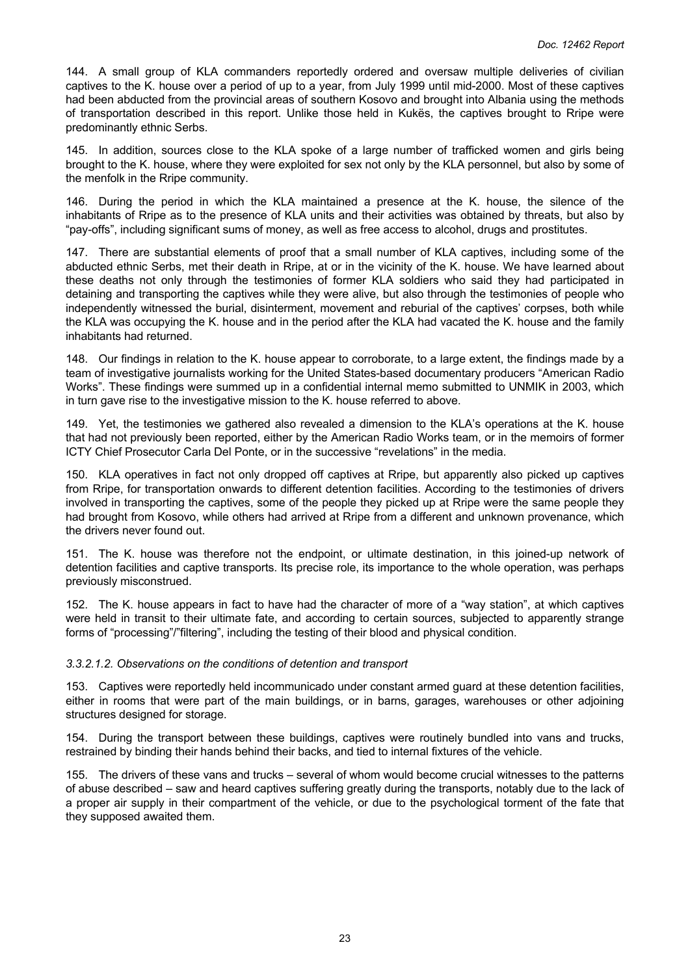144. A small group of KLA commanders reportedly ordered and oversaw multiple deliveries of civilian captives to the K. house over a period of up to a year, from July 1999 until mid-2000. Most of these captives had been abducted from the provincial areas of southern Kosovo and brought into Albania using the methods of transportation described in this report. Unlike those held in Kukës, the captives brought to Rripe were predominantly ethnic Serbs.

145. In addition, sources close to the KLA spoke of a large number of trafficked women and girls being brought to the K. house, where they were exploited for sex not only by the KLA personnel, but also by some of the menfolk in the Rripe community.

146. During the period in which the KLA maintained a presence at the K. house, the silence of the inhabitants of Rripe as to the presence of KLA units and their activities was obtained by threats, but also by "pay-offs", including significant sums of money, as well as free access to alcohol, drugs and prostitutes.

147. There are substantial elements of proof that a small number of KLA captives, including some of the abducted ethnic Serbs, met their death in Rripe, at or in the vicinity of the K. house. We have learned about these deaths not only through the testimonies of former KLA soldiers who said they had participated in detaining and transporting the captives while they were alive, but also through the testimonies of people who independently witnessed the burial, disinterment, movement and reburial of the captives' corpses, both while the KLA was occupying the K. house and in the period after the KLA had vacated the K. house and the family inhabitants had returned.

148. Our findings in relation to the K. house appear to corroborate, to a large extent, the findings made by a team of investigative journalists working for the United States-based documentary producers "American Radio Works". These findings were summed up in a confidential internal memo submitted to UNMIK in 2003, which in turn gave rise to the investigative mission to the K. house referred to above.

149. Yet, the testimonies we gathered also revealed a dimension to the KLA's operations at the K. house that had not previously been reported, either by the American Radio Works team, or in the memoirs of former ICTY Chief Prosecutor Carla Del Ponte, or in the successive "revelations" in the media.

150. KLA operatives in fact not only dropped off captives at Rripe, but apparently also picked up captives from Rripe, for transportation onwards to different detention facilities. According to the testimonies of drivers involved in transporting the captives, some of the people they picked up at Rripe were the same people they had brought from Kosovo, while others had arrived at Rripe from a different and unknown provenance, which the drivers never found out.

151. The K. house was therefore not the endpoint, or ultimate destination, in this joined-up network of detention facilities and captive transports. Its precise role, its importance to the whole operation, was perhaps previously misconstrued.

152. The K. house appears in fact to have had the character of more of a "way station", at which captives were held in transit to their ultimate fate, and according to certain sources, subjected to apparently strange forms of "processing"/"filtering", including the testing of their blood and physical condition.

## *3.3.2.1.2. Observations on the conditions of detention and transport*

153. Captives were reportedly held incommunicado under constant armed guard at these detention facilities, either in rooms that were part of the main buildings, or in barns, garages, warehouses or other adjoining structures designed for storage.

154. During the transport between these buildings, captives were routinely bundled into vans and trucks, restrained by binding their hands behind their backs, and tied to internal fixtures of the vehicle.

155. The drivers of these vans and trucks – several of whom would become crucial witnesses to the patterns of abuse described – saw and heard captives suffering greatly during the transports, notably due to the lack of a proper air supply in their compartment of the vehicle, or due to the psychological torment of the fate that they supposed awaited them.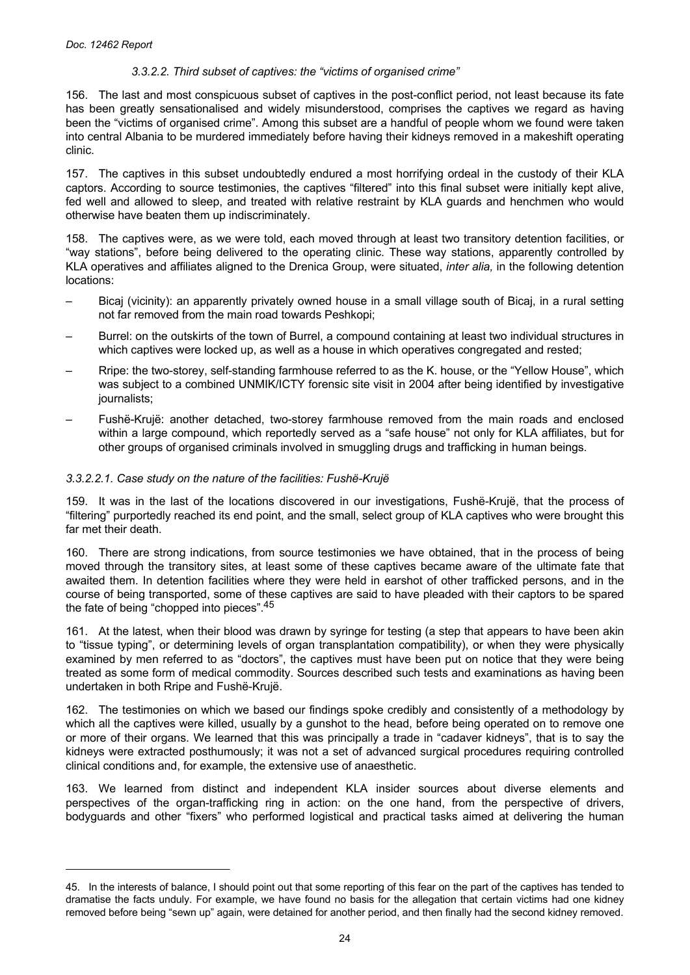## *3.3.2.2. Third subset of captives: the "victims of organised crime"*

156. The last and most conspicuous subset of captives in the post-conflict period, not least because its fate has been greatly sensationalised and widely misunderstood, comprises the captives we regard as having been the "victims of organised crime". Among this subset are a handful of people whom we found were taken into central Albania to be murdered immediately before having their kidneys removed in a makeshift operating clinic.

157. The captives in this subset undoubtedly endured a most horrifying ordeal in the custody of their KLA captors. According to source testimonies, the captives "filtered" into this final subset were initially kept alive, fed well and allowed to sleep, and treated with relative restraint by KLA guards and henchmen who would otherwise have beaten them up indiscriminately.

158. The captives were, as we were told, each moved through at least two transitory detention facilities, or "way stations", before being delivered to the operating clinic. These way stations, apparently controlled by KLA operatives and affiliates aligned to the Drenica Group, were situated, *inter alia,* in the following detention locations:

- Bicaj (vicinity): an apparently privately owned house in a small village south of Bicaj, in a rural setting not far removed from the main road towards Peshkopi;
- Burrel: on the outskirts of the town of Burrel, a compound containing at least two individual structures in which captives were locked up, as well as a house in which operatives congregated and rested;
- Rripe: the two-storey, self-standing farmhouse referred to as the K. house, or the "Yellow House", which was subject to a combined UNMIK/ICTY forensic site visit in 2004 after being identified by investigative journalists;
- Fushë-Krujë: another detached, two-storey farmhouse removed from the main roads and enclosed within a large compound, which reportedly served as a "safe house" not only for KLA affiliates, but for other groups of organised criminals involved in smuggling drugs and trafficking in human beings.

## *3.3.2.2.1. Case study on the nature of the facilities: Fushë-Krujë*

159. It was in the last of the locations discovered in our investigations, Fushë-Krujë, that the process of "filtering" purportedly reached its end point, and the small, select group of KLA captives who were brought this far met their death.

160. There are strong indications, from source testimonies we have obtained, that in the process of being moved through the transitory sites, at least some of these captives became aware of the ultimate fate that awaited them. In detention facilities where they were held in earshot of other trafficked persons, and in the course of being transported, some of these captives are said to have pleaded with their captors to be spared the fate of being "chopped into pieces".<sup>45</sup>

161. At the latest, when their blood was drawn by syringe for testing (a step that appears to have been akin to "tissue typing", or determining levels of organ transplantation compatibility), or when they were physically examined by men referred to as "doctors", the captives must have been put on notice that they were being treated as some form of medical commodity. Sources described such tests and examinations as having been undertaken in both Rripe and Fushë-Krujë.

162. The testimonies on which we based our findings spoke credibly and consistently of a methodology by which all the captives were killed, usually by a gunshot to the head, before being operated on to remove one or more of their organs. We learned that this was principally a trade in "cadaver kidneys", that is to say the kidneys were extracted posthumously; it was not a set of advanced surgical procedures requiring controlled clinical conditions and, for example, the extensive use of anaesthetic.

163. We learned from distinct and independent KLA insider sources about diverse elements and perspectives of the organ-trafficking ring in action: on the one hand, from the perspective of drivers, bodyguards and other "fixers" who performed logistical and practical tasks aimed at delivering the human

<sup>45.</sup> In the interests of balance, I should point out that some reporting of this fear on the part of the captives has tended to dramatise the facts unduly. For example, we have found no basis for the allegation that certain victims had one kidney removed before being "sewn up" again, were detained for another period, and then finally had the second kidney removed.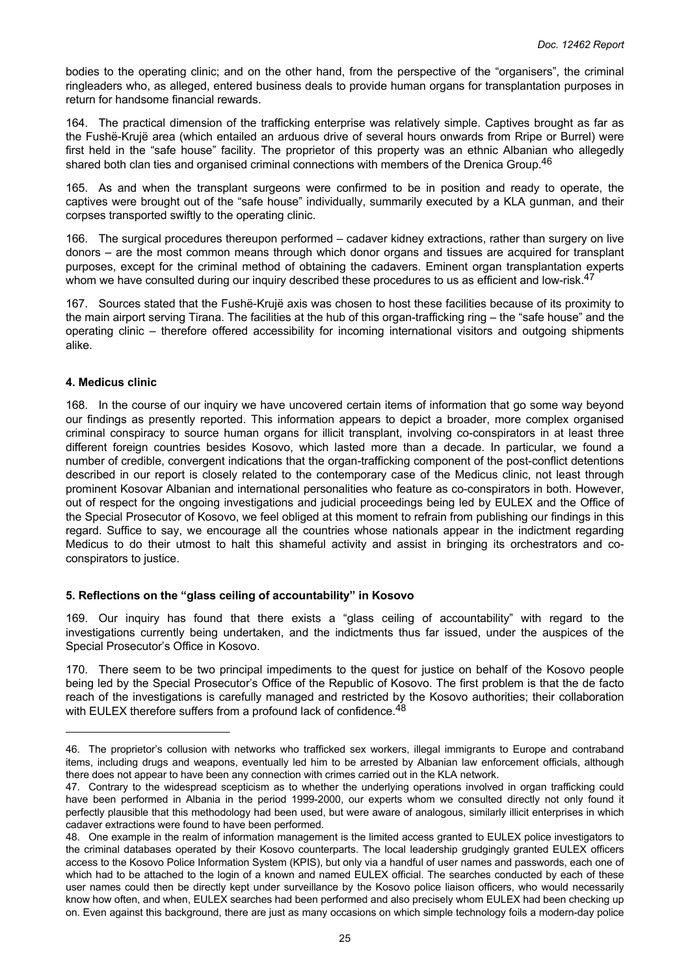<span id="page-24-0"></span>bodies to the operating clinic; and on the other hand, from the perspective of the "organisers", the criminal ringleaders who, as alleged, entered business deals to provide human organs for transplantation purposes in return for handsome financial rewards.

164. The practical dimension of the trafficking enterprise was relatively simple. Captives brought as far as the Fushë-Krujë area (which entailed an arduous drive of several hours onwards from Rripe or Burrel) were first held in the "safe house" facility. The proprietor of this property was an ethnic Albanian who allegedly shared both clan ties and organised criminal connections with members of the Drenica Group.<sup>46</sup>

165. As and when the transplant surgeons were confirmed to be in position and ready to operate, the captives were brought out of the "safe house" individually, summarily executed by a KLA gunman, and their corpses transported swiftly to the operating clinic.

166. The surgical procedures thereupon performed – cadaver kidney extractions, rather than surgery on live donors – are the most common means through which donor organs and tissues are acquired for transplant purposes, except for the criminal method of obtaining the cadavers. Eminent organ transplantation experts whom we have consulted during our inquiry described these procedures to us as efficient and low-risk.<sup>47</sup>

167. Sources stated that the Fushë-Krujë axis was chosen to host these facilities because of its proximity to the main airport serving Tirana. The facilities at the hub of this organ-trafficking ring – the "safe house" and the operating clinic – therefore offered accessibility for incoming international visitors and outgoing shipments alike.

## **4. Medicus clinic**

168. In the course of our inquiry we have uncovered certain items of information that go some way beyond our findings as presently reported. This information appears to depict a broader, more complex organised criminal conspiracy to source human organs for illicit transplant, involving co-conspirators in at least three different foreign countries besides Kosovo, which lasted more than a decade. In particular, we found a number of credible, convergent indications that the organ-trafficking component of the post-conflict detentions described in our report is closely related to the contemporary case of the Medicus clinic, not least through prominent Kosovar Albanian and international personalities who feature as co-conspirators in both. However, out of respect for the ongoing investigations and judicial proceedings being led by EULEX and the Office of the Special Prosecutor of Kosovo, we feel obliged at this moment to refrain from publishing our findings in this regard. Suffice to say, we encourage all the countries whose nationals appear in the indictment regarding Medicus to do their utmost to halt this shameful activity and assist in bringing its orchestrators and coconspirators to justice.

## **5. Reflections on the "glass ceiling of accountability" in Kosovo**

169. Our inquiry has found that there exists a "glass ceiling of accountability" with regard to the investigations currently being undertaken, and the indictments thus far issued, under the auspices of the Special Prosecutor's Office in Kosovo.

170. There seem to be two principal impediments to the quest for justice on behalf of the Kosovo people being led by the Special Prosecutor's Office of the Republic of Kosovo. The first problem is that the de facto reach of the investigations is carefully managed and restricted by the Kosovo authorities; their collaboration with EULEX therefore suffers from a profound lack of confidence.<sup>48</sup>

<sup>46.</sup> The proprietor's collusion with networks who trafficked sex workers, illegal immigrants to Europe and contraband items, including drugs and weapons, eventually led him to be arrested by Albanian law enforcement officials, although there does not appear to have been any connection with crimes carried out in the KLA network.

<sup>47.</sup> Contrary to the widespread scepticism as to whether the underlying operations involved in organ trafficking could have been performed in Albania in the period 1999-2000, our experts whom we consulted directly not only found it perfectly plausible that this methodology had been used, but were aware of analogous, similarly illicit enterprises in which cadaver extractions were found to have been performed.

<sup>48.</sup> One example in the realm of information management is the limited access granted to EULEX police investigators to the criminal databases operated by their Kosovo counterparts. The local leadership grudgingly granted EULEX officers access to the Kosovo Police Information System (KPIS), but only via a handful of user names and passwords, each one of which had to be attached to the login of a known and named EULEX official. The searches conducted by each of these user names could then be directly kept under surveillance by the Kosovo police liaison officers, who would necessarily know how often, and when, EULEX searches had been performed and also precisely whom EULEX had been checking up on. Even against this background, there are just as many occasions on which simple technology foils a modern-day police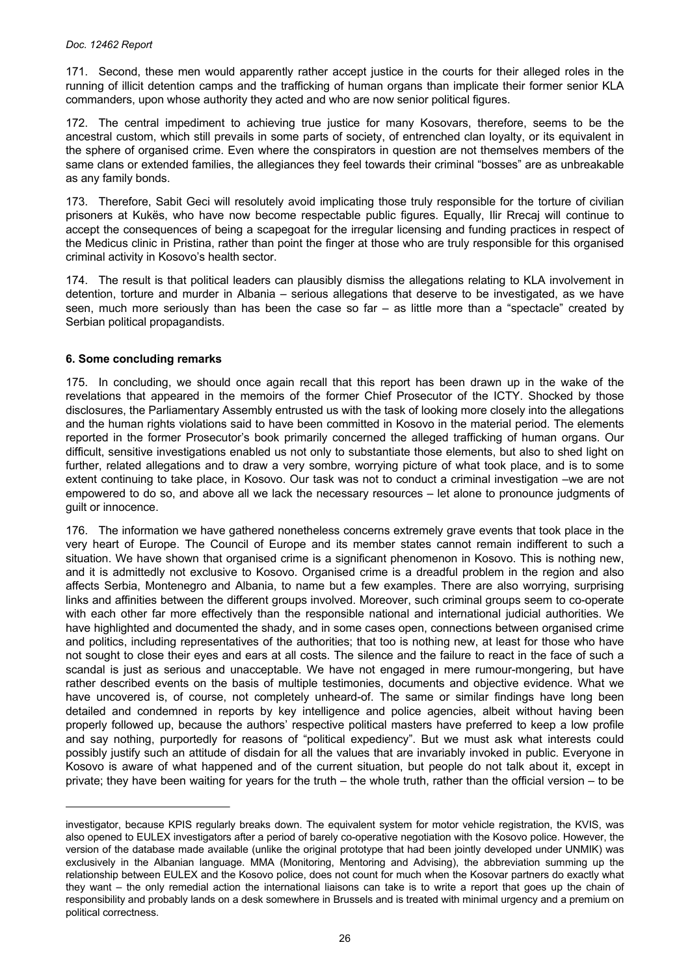<span id="page-25-0"></span>171. Second, these men would apparently rather accept justice in the courts for their alleged roles in the running of illicit detention camps and the trafficking of human organs than implicate their former senior KLA commanders, upon whose authority they acted and who are now senior political figures.

172. The central impediment to achieving true justice for many Kosovars, therefore, seems to be the ancestral custom, which still prevails in some parts of society, of entrenched clan loyalty, or its equivalent in the sphere of organised crime. Even where the conspirators in question are not themselves members of the same clans or extended families, the allegiances they feel towards their criminal "bosses" are as unbreakable as any family bonds.

173. Therefore, Sabit Geci will resolutely avoid implicating those truly responsible for the torture of civilian prisoners at Kukës, who have now become respectable public figures. Equally, Ilir Rrecaj will continue to accept the consequences of being a scapegoat for the irregular licensing and funding practices in respect of the Medicus clinic in Pristina, rather than point the finger at those who are truly responsible for this organised criminal activity in Kosovo's health sector.

174. The result is that political leaders can plausibly dismiss the allegations relating to KLA involvement in detention, torture and murder in Albania – serious allegations that deserve to be investigated, as we have seen, much more seriously than has been the case so far – as little more than a "spectacle" created by Serbian political propagandists.

## **6. Some concluding remarks**

175. In concluding, we should once again recall that this report has been drawn up in the wake of the revelations that appeared in the memoirs of the former Chief Prosecutor of the ICTY. Shocked by those disclosures, the Parliamentary Assembly entrusted us with the task of looking more closely into the allegations and the human rights violations said to have been committed in Kosovo in the material period. The elements reported in the former Prosecutor's book primarily concerned the alleged trafficking of human organs. Our difficult, sensitive investigations enabled us not only to substantiate those elements, but also to shed light on further, related allegations and to draw a very sombre, worrying picture of what took place, and is to some extent continuing to take place, in Kosovo. Our task was not to conduct a criminal investigation –we are not empowered to do so, and above all we lack the necessary resources – let alone to pronounce judgments of guilt or innocence.

176. The information we have gathered nonetheless concerns extremely grave events that took place in the very heart of Europe. The Council of Europe and its member states cannot remain indifferent to such a situation. We have shown that organised crime is a significant phenomenon in Kosovo. This is nothing new, and it is admittedly not exclusive to Kosovo. Organised crime is a dreadful problem in the region and also affects Serbia, Montenegro and Albania, to name but a few examples. There are also worrying, surprising links and affinities between the different groups involved. Moreover, such criminal groups seem to co-operate with each other far more effectively than the responsible national and international judicial authorities. We have highlighted and documented the shady, and in some cases open, connections between organised crime and politics, including representatives of the authorities; that too is nothing new, at least for those who have not sought to close their eyes and ears at all costs. The silence and the failure to react in the face of such a scandal is just as serious and unacceptable. We have not engaged in mere rumour-mongering, but have rather described events on the basis of multiple testimonies, documents and objective evidence. What we have uncovered is, of course, not completely unheard-of. The same or similar findings have long been detailed and condemned in reports by key intelligence and police agencies, albeit without having been properly followed up, because the authors' respective political masters have preferred to keep a low profile and say nothing, purportedly for reasons of "political expediency". But we must ask what interests could possibly justify such an attitude of disdain for all the values that are invariably invoked in public. Everyone in Kosovo is aware of what happened and of the current situation, but people do not talk about it, except in private; they have been waiting for years for the truth – the whole truth, rather than the official version – to be

investigator, because KPIS regularly breaks down. The equivalent system for motor vehicle registration, the KVIS, was also opened to EULEX investigators after a period of barely co-operative negotiation with the Kosovo police. However, the version of the database made available (unlike the original prototype that had been jointly developed under UNMIK) was exclusively in the Albanian language. MMA (Monitoring, Mentoring and Advising), the abbreviation summing up the relationship between EULEX and the Kosovo police, does not count for much when the Kosovar partners do exactly what they want – the only remedial action the international liaisons can take is to write a report that goes up the chain of responsibility and probably lands on a desk somewhere in Brussels and is treated with minimal urgency and a premium on political correctness.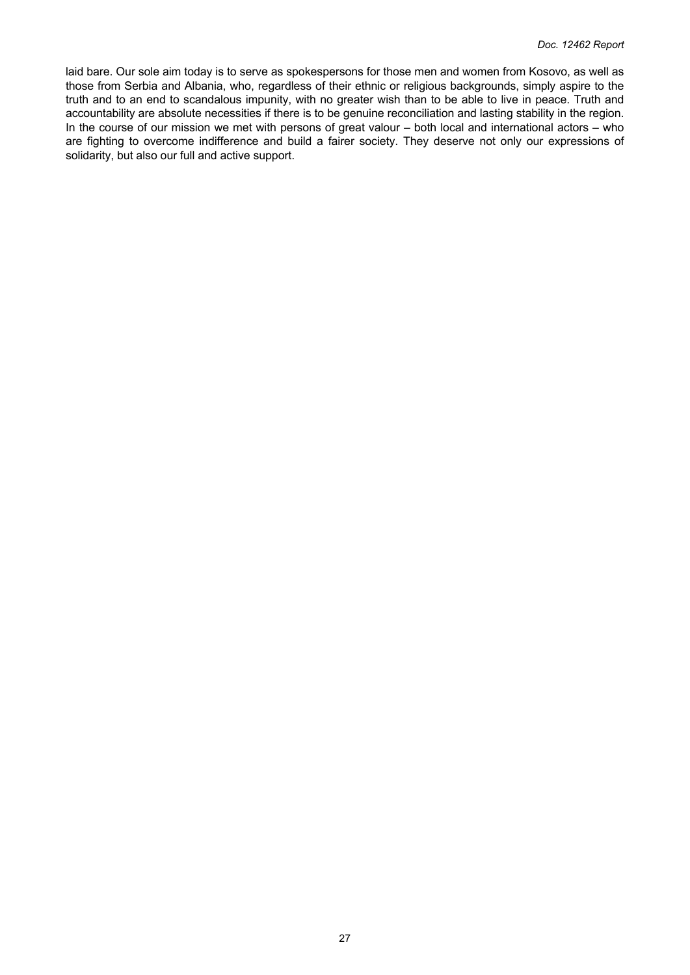laid bare. Our sole aim today is to serve as spokespersons for those men and women from Kosovo, as well as those from Serbia and Albania, who, regardless of their ethnic or religious backgrounds, simply aspire to the truth and to an end to scandalous impunity, with no greater wish than to be able to live in peace. Truth and accountability are absolute necessities if there is to be genuine reconciliation and lasting stability in the region. In the course of our mission we met with persons of great valour – both local and international actors – who are fighting to overcome indifference and build a fairer society. They deserve not only our expressions of solidarity, but also our full and active support.